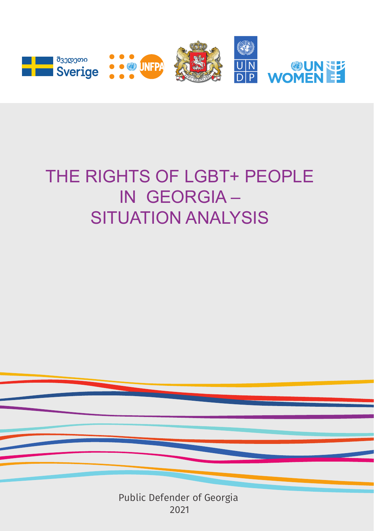

# THE RIGHTS OF LGBT+ PEOPLE IN GEORGIA

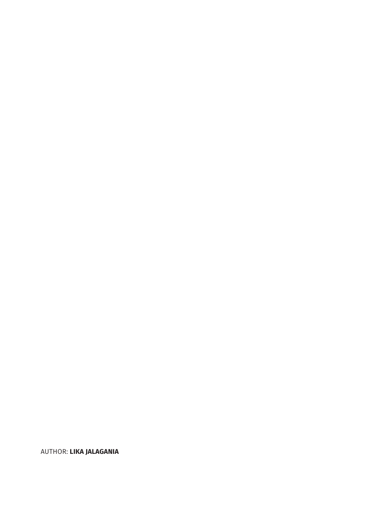#### AUTHOR: **LIKA JALAGANIA**

This publication was prepared by the Public Defender Office of Georgia with assistance from United Nations Entity for Gender Equality and Empowerment of Women (UN Women), United Nations Development Programme (UNDP) and United Nations Population Fund (UNFPA) and within the framework of UN Joint Programme for Gender Equality in Georgia supported by the Government of Sweden.

The views expressed in this publication are of the author and do not necessarily reflect those of the organizations and institutions listed above.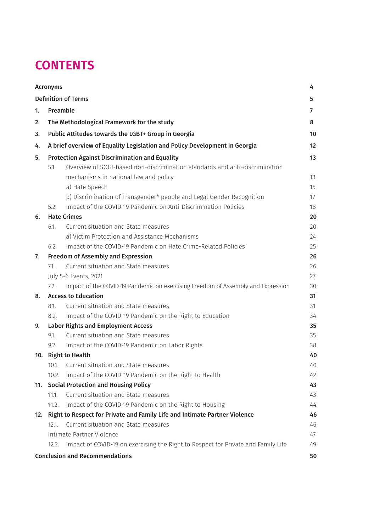### **CONTENTS**

| <b>Acronyms</b> |                                                                            |                                                                                   | 4  |
|-----------------|----------------------------------------------------------------------------|-----------------------------------------------------------------------------------|----|
|                 |                                                                            | <b>Definition of Terms</b>                                                        | 5  |
| 1.              | Preamble                                                                   |                                                                                   | 7  |
| 2.              | The Methodological Framework for the study                                 |                                                                                   |    |
| 3.              |                                                                            | Public Attitudes towards the LGBT+ Group in Georgia                               | 10 |
| 4.              |                                                                            | A brief overview of Equality Legislation and Policy Development in Georgia        | 12 |
| 5.              | <b>Protection Against Discrimination and Equality</b>                      |                                                                                   |    |
|                 | 5.1.                                                                       | Overview of SOGI-based non-discrimination standards and anti-discrimination       |    |
|                 |                                                                            | mechanisms in national law and policy                                             | 13 |
|                 |                                                                            | a) Hate Speech                                                                    | 15 |
|                 |                                                                            | b) Discrimination of Transgender* people and Legal Gender Recognition             | 17 |
|                 | 5.2.                                                                       | Impact of the COVID-19 Pandemic on Anti-Discrimination Policies                   | 18 |
| 6.              | <b>Hate Crimes</b>                                                         |                                                                                   |    |
|                 | 6.1.                                                                       | Current situation and State measures                                              | 20 |
|                 |                                                                            | a) Victim Protection and Assistance Mechanisms                                    | 24 |
|                 | 6.2.                                                                       | Impact of the COVID-19 Pandemic on Hate Crime-Related Policies                    | 25 |
| 7.              | <b>Freedom of Assembly and Expression</b>                                  |                                                                                   |    |
|                 | 7.1.                                                                       | Current situation and State measures                                              | 26 |
|                 | 27<br>July 5-6 Events, 2021                                                |                                                                                   |    |
|                 | 7.2.                                                                       | Impact of the COVID-19 Pandemic on exercising Freedom of Assembly and Expression  | 30 |
| 8.              | <b>Access to Education</b>                                                 |                                                                                   |    |
|                 | 8.1.                                                                       | Current situation and State measures                                              | 31 |
|                 | 8.2.                                                                       | Impact of the COVID-19 Pandemic on the Right to Education                         | 34 |
| 9.              | <b>Labor Rights and Employment Access</b>                                  |                                                                                   |    |
|                 | 9.1.                                                                       | Current situation and State measures                                              | 35 |
|                 | 9.2.                                                                       | Impact of the COVID-19 Pandemic on Labor Rights                                   | 38 |
|                 | 10. Right to Health                                                        |                                                                                   |    |
|                 | 10.1.                                                                      | Current situation and State measures                                              | 40 |
|                 | 10.2.                                                                      | Impact of the COVID-19 Pandemic on the Right to Health                            | 42 |
| 11.             | <b>Social Protection and Housing Policy</b>                                |                                                                                   |    |
|                 | 11.1.                                                                      | Current situation and State measures                                              | 43 |
|                 | 11.2.                                                                      | Impact of the COVID-19 Pandemic on the Right to Housing                           | 44 |
| 12.             | Right to Respect for Private and Family Life and Intimate Partner Violence |                                                                                   |    |
|                 | 12.1.                                                                      | Current situation and State measures                                              | 46 |
|                 | Intimate Partner Violence                                                  |                                                                                   | 47 |
|                 | 12.2.                                                                      | Impact of COVID-19 on exercising the Right to Respect for Private and Family Life | 49 |
|                 |                                                                            | <b>Conclusion and Recommendations</b>                                             | 50 |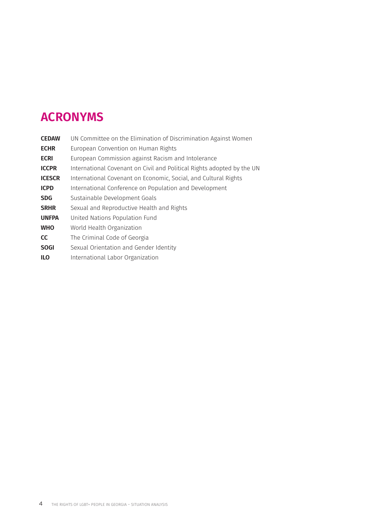### **ACRONYMS**

| <b>CEDAW</b>  | UN Committee on the Elimination of Discrimination Against Women        |
|---------------|------------------------------------------------------------------------|
| <b>ECHR</b>   | European Convention on Human Rights                                    |
| <b>ECRI</b>   | European Commission against Racism and Intolerance                     |
| <b>ICCPR</b>  | International Covenant on Civil and Political Rights adopted by the UN |
| <b>ICESCR</b> | International Covenant on Economic, Social, and Cultural Rights        |
| <b>ICPD</b>   | International Conference on Population and Development                 |
| <b>SDG</b>    | Sustainable Development Goals                                          |
| <b>SRHR</b>   | Sexual and Reproductive Health and Rights                              |
| <b>UNFPA</b>  | United Nations Population Fund                                         |
| <b>WHO</b>    | World Health Organization                                              |
| <b>CC</b>     | The Criminal Code of Georgia                                           |
| <b>SOGI</b>   | Sexual Orientation and Gender Identity                                 |
| <b>ILO</b>    | International Labor Organization                                       |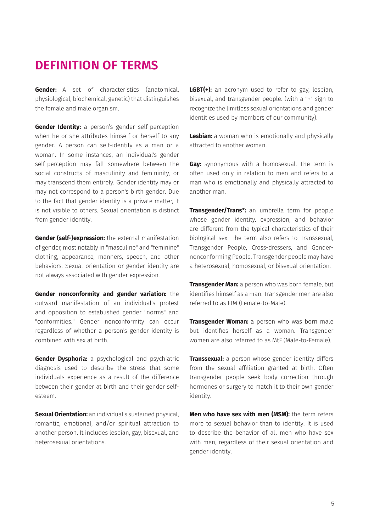### **DEFINITION OF TERMS**

**Gender:** A set of characteristics (anatomical, physiological, biochemical, genetic) that distinguishes the female and male organism.

**Gender Identity:** a person's gender self-perception when he or she attributes himself or herself to any gender. A person can self-identify as a man or a woman. In some instances, an individual's gender self-perception may fall somewhere between the social constructs of masculinity and femininity, or may transcend them entirely. Gender identity may or may not correspond to a person's birth gender. Due to the fact that gender identity is a private matter, it is not visible to others. Sexual orientation is distinct from gender identity.

**Gender (self-)expression:** the external manifestation of gender, most notably in "masculine" and "feminine" clothing, appearance, manners, speech, and other behaviors. Sexual orientation or gender identity are not always associated with gender expression.

**Gender nonconformity and gender variation:** the outward manifestation of an individual's protest and opposition to established gender "norms" and "conformities." Gender nonconformity can occur regardless of whether a person's gender identity is combined with sex at birth.

**Gender Dysphoria:** a psychological and psychiatric diagnosis used to describe the stress that some individuals experience as a result of the difference between their gender at birth and their gender selfesteem.

**Sexual Orientation:** an individual's sustained physical, romantic, emotional, and/or spiritual attraction to another person. It includes lesbian, gay, bisexual, and heterosexual orientations.

**LGBT(+):** an acronym used to refer to gay, lesbian, bisexual, and transgender people. (with a "+" sign to recognize the limitless sexual orientations and gender identities used by members of our community).

**Lesbian:** a woman who is emotionally and physically attracted to another woman.

**Gay:** synonymous with a homosexual. The term is often used only in relation to men and refers to a man who is emotionally and physically attracted to another man.

**Transgender/Trans\*:** an umbrella term for people whose gender identity, expression, and behavior are different from the typical characteristics of their biological sex. The term also refers to Transsexual, Transgender People, Cross-dressers, and Gendernonconforming People. Transgender people may have a heterosexual, homosexual, or bisexual orientation.

**Transgender Man:** a person who was born female, but identifies himself as a man. Transgender men are also referred to as FtM (Female-to-Male).

**Transgender Woman:** a person who was born male but identifies herself as a woman. Transgender women are also referred to as MtF (Male-to-Female).

**Transsexual:** a person whose gender identity differs from the sexual affiliation granted at birth. Often transgender people seek body correction through hormones or surgery to match it to their own gender identity.

**Men who have sex with men (MSM):** the term refers more to sexual behavior than to identity. It is used to describe the behavior of all men who have sex with men, regardless of their sexual orientation and gender identity.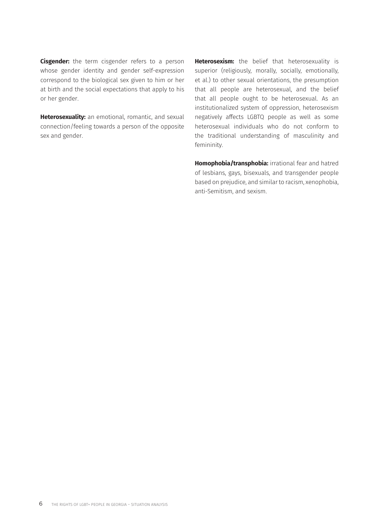**Cisgender:** the term cisgender refers to a person whose gender identity and gender self-expression correspond to the biological sex given to him or her at birth and the social expectations that apply to his or her gender.

**Heterosexuality:** an emotional, romantic, and sexual connection/feeling towards a person of the opposite sex and gender.

**Heterosexism:** the belief that heterosexuality is superior (religiously, morally, socially, emotionally, et al.) to other sexual orientations, the presumption that all people are heterosexual, and the belief that all people ought to be heterosexual. As an institutionalized system of oppression, heterosexism negatively affects LGBTQ people as well as some heterosexual individuals who do not conform to the traditional understanding of masculinity and femininity.

**Homophobia/transphobia:** irrational fear and hatred of lesbians, gays, bisexuals, and transgender people based on prejudice, and similar to racism, xenophobia, anti-Semitism, and sexism.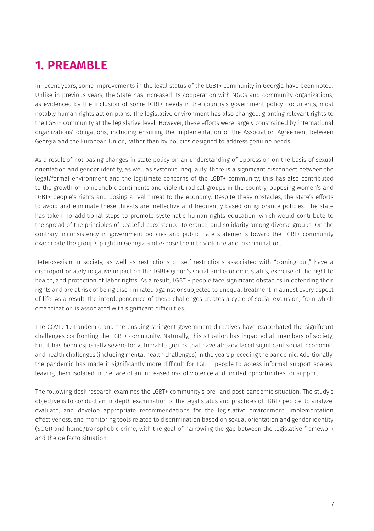# **1. PREAMBLE**

In recent years, some improvements in the legal status of the LGBT+ community in Georgia have been noted. Unlike in previous years, the State has increased its cooperation with NGOs and community organizations, as evidenced by the inclusion of some LGBT+ needs in the country's government policy documents, most notably human rights action plans. The legislative environment has also changed, granting relevant rights to the LGBT+ community at the legislative level. However, these efforts were largely constrained by international organizations' obligations, including ensuring the implementation of the Association Agreement between Georgia and the European Union, rather than by policies designed to address genuine needs.

As a result of not basing changes in state policy on an understanding of oppression on the basis of sexual orientation and gender identity, as well as systemic inequality, there is a significant disconnect between the legal/formal environment and the legitimate concerns of the LGBT+ community; this has also contributed to the growth of homophobic sentiments and violent, radical groups in the country, opposing women's and LGBT+ people's rights and posing a real threat to the economy. Despite these obstacles, the state's efforts to avoid and eliminate these threats are ineffective and frequently based on ignorance policies. The state has taken no additional steps to promote systematic human rights education, which would contribute to the spread of the principles of peaceful coexistence, tolerance, and solidarity among diverse groups. On the contrary, inconsistency in government policies and public hate statements toward the LGBT+ community exacerbate the group's plight in Georgia and expose them to violence and discrimination.

Heterosexism in society, as well as restrictions or self-restrictions associated with "coming out," have a disproportionately negative impact on the LGBT+ group's social and economic status, exercise of the right to health, and protection of labor rights. As a result, LGBT + people face significant obstacles in defending their rights and are at risk of being discriminated against or subjected to unequal treatment in almost every aspect of life. As a result, the interdependence of these challenges creates a cycle of social exclusion, from which emancipation is associated with significant difficulties.

The COVID-19 Pandemic and the ensuing stringent government directives have exacerbated the significant challenges confronting the LGBT+ community. Naturally, this situation has impacted all members of society, but it has been especially severe for vulnerable groups that have already faced significant social, economic, and health challenges (including mental health challenges) in the years preceding the pandemic. Additionally, the pandemic has made it significantly more difficult for LGBT+ people to access informal support spaces, leaving them isolated in the face of an increased risk of violence and limited opportunities for support.

The following desk research examines the LGBT+ community's pre- and post-pandemic situation. The study's objective is to conduct an in-depth examination of the legal status and practices of LGBT+ people, to analyze, evaluate, and develop appropriate recommendations for the legislative environment, implementation effectiveness, and monitoring tools related to discrimination based on sexual orientation and gender identity (SOGI) and homo/transphobic crime, with the goal of narrowing the gap between the legislative framework and the de facto situation.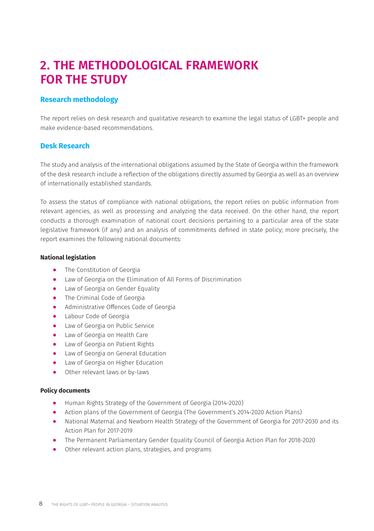### **2. THE METHODOLOGICAL FRAMEWORK FOR THE STUDY**

### **Research methodology**

The report relies on desk research and qualitative research to examine the legal status of LGBT+ people and make evidence-based recommendations.

#### **Desk Research**

The study and analysis of the international obligations assumed by the State of Georgia within the framework of the desk research include a reflection of the obligations directly assumed by Georgia as well as an overview of internationally established standards.

To assess the status of compliance with national obligations, the report relies on public information from relevant agencies, as well as processing and analyzing the data received. On the other hand, the report conducts a thorough examination of national court decisions pertaining to a particular area of the state legislative framework (if any) and an analysis of commitments defined in state policy; more precisely, the report examines the following national documents:

#### **National legislation**

- ⦁ The Constitution of Georgia
- Law of Georgia on the Elimination of All Forms of Discrimination
- ⦁ Law of Georgia on Gender Equality
- ⦁ The Criminal Code of Georgia
- ⦁ Administrative Offences Code of Georgia
- Labour Code of Georgia
- Law of Georgia on Public Service
- ⦁ Law of Georgia on Health Care
- ⦁ Law of Georgia on Patient Rights
- ⦁ Law of Georgia on General Education
- Law of Georgia on Higher Education
- Other relevant laws or by-laws

#### **Policy documents**

- ⦁ Human Rights Strategy of the Government of Georgia (2014-2020)
- ⦁ Action plans of the Government of Georgia (The Government's 2014-2020 Action Plans)
- ⦁ National Maternal and Newborn Health Strategy of the Government of Georgia for 2017-2030 and its Action Plan for 2017-2019
- ⦁ The Permanent Parliamentary Gender Equality Council of Georgia Action Plan for 2018-2020
- ⦁ Other relevant action plans, strategies, and programs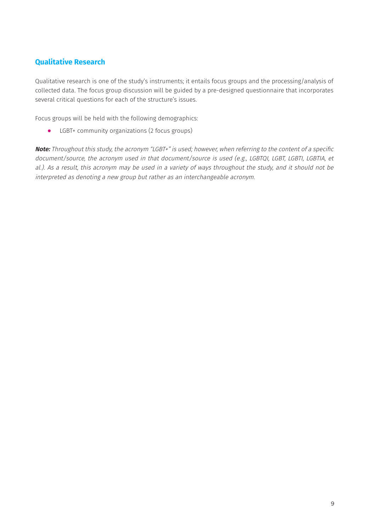### **Qualitative Research**

Qualitative research is one of the study's instruments; it entails focus groups and the processing/analysis of collected data. The focus group discussion will be guided by a pre-designed questionnaire that incorporates several critical questions for each of the structure's issues.

Focus groups will be held with the following demographics:

⦁ LGBT+ community organizations (2 focus groups)

**Note:** Throughout this study, the acronym "LGBT+" is used; however, when referring to the content of a specific document/source, the acronym used in that document/source is used (e.g., LGBTQI, LGBT, LGBTI, LGBTIA, et al.). As a result, this acronym may be used in a variety of ways throughout the study, and it should not be interpreted as denoting a new group but rather as an interchangeable acronym.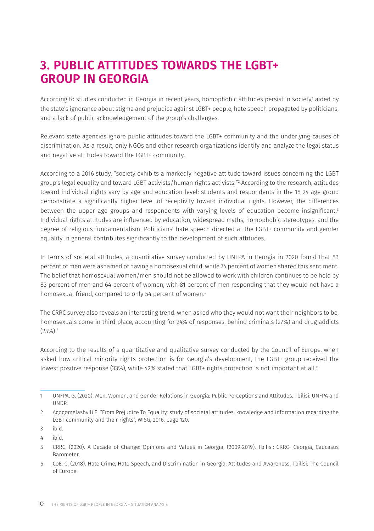### **3. PUBLIC ATTITUDES TOWARDS THE LGBT+ GROUP IN GEORGIA**

According to studies conducted in Georgia in recent years, homophobic attitudes persist in society,<sup>1</sup> aided by the state's ignorance about stigma and prejudice against LGBT+ people, hate speech propagated by politicians, and a lack of public acknowledgement of the group's challenges.

Relevant state agencies ignore public attitudes toward the LGBT+ community and the underlying causes of discrimination. As a result, only NGOs and other research organizations identify and analyze the legal status and negative attitudes toward the LGBT+ community.

According to a 2016 study, "society exhibits a markedly negative attitude toward issues concerning the LGBT group's legal equality and toward LGBT activists/human rights activists."2 According to the research, attitudes toward individual rights vary by age and education level: students and respondents in the 18-24 age group demonstrate a significantly higher level of receptivity toward individual rights. However, the differences between the upper age groups and respondents with varying levels of education become insignificant.<sup>3</sup> Individual rights attitudes are influenced by education, widespread myths, homophobic stereotypes, and the degree of religious fundamentalism. Politicians' hate speech directed at the LGBT+ community and gender equality in general contributes significantly to the development of such attitudes.

In terms of societal attitudes, a quantitative survey conducted by UNFPA in Georgia in 2020 found that 83 percent of men were ashamed of having a homosexual child, while 74 percent of women shared this sentiment. The belief that homosexual women/men should not be allowed to work with children continues to be held by 83 percent of men and 64 percent of women, with 81 percent of men responding that they would not have a homosexual friend, compared to only 54 percent of women.<sup>4</sup>

The CRRC survey also reveals an interesting trend: when asked who they would not want their neighbors to be, homosexuals come in third place, accounting for 24% of responses, behind criminals (27%) and drug addicts (25%).5

According to the results of a quantitative and qualitative survey conducted by the Council of Europe, when asked how critical minority rights protection is for Georgia's development, the LGBT+ group received the lowest positive response (33%), while 42% stated that LGBT+ rights protection is not important at all.<sup>6</sup>

<sup>1</sup> UNFPA, G. (2020). Men, Women, and Gender Relations in Georgia: Public Perceptions and Attitudes. Tbilisi: UNFPA and UNDP.

<sup>2</sup> Agdgomelashvili E. "From Prejudice To Equality: study of societal attitudes, knowledge and information regarding the LGBT community and their rights", WISG, 2016, page 120.

<sup>3</sup> ibid.

<sup>4</sup> ibid.

<sup>5</sup> CRRC. (2020). A Decade of Change: Opinions and Values in Georgia, (2009-2019). Tbilisi: CRRC- Georgia, Caucasus Barometer.

<sup>6</sup> CoE, C. (2018). Hate Crime, Hate Speech, and Discrimination in Georgia: Attitudes and Awareness. Tbilisi: The Council of Europe.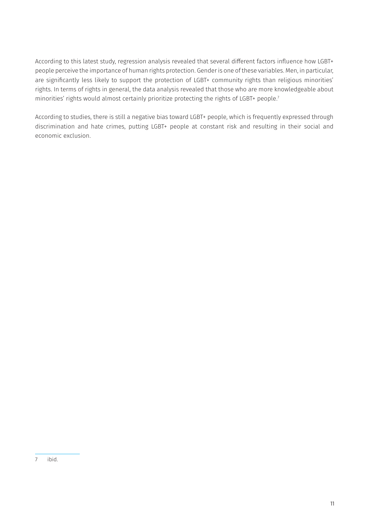According to this latest study, regression analysis revealed that several different factors influence how LGBT+ people perceive the importance of human rights protection. Gender is one of these variables. Men, in particular, are significantly less likely to support the protection of LGBT+ community rights than religious minorities' rights. In terms of rights in general, the data analysis revealed that those who are more knowledgeable about minorities' rights would almost certainly prioritize protecting the rights of LGBT+ people.<sup>7</sup>

According to studies, there is still a negative bias toward LGBT+ people, which is frequently expressed through discrimination and hate crimes, putting LGBT+ people at constant risk and resulting in their social and economic exclusion.

<sup>7</sup> ibid.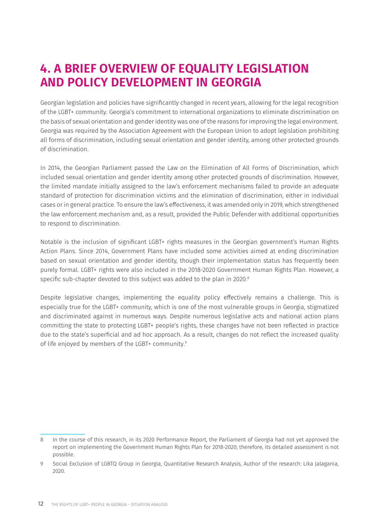### **4. A BRIEF OVERVIEW OF EQUALITY LEGISLATION AND POLICY DEVELOPMENT IN GEORGIA**

Georgian legislation and policies have significantly changed in recent years, allowing for the legal recognition of the LGBT+ community. Georgia's commitment to international organizations to eliminate discrimination on the basis of sexual orientation and gender identity was one of the reasons for improving the legal environment. Georgia was required by the Association Agreement with the European Union to adopt legislation prohibiting all forms of discrimination, including sexual orientation and gender identity, among other protected grounds of discrimination.

In 2014, the Georgian Parliament passed the Law on the Elimination of All Forms of Discrimination, which included sexual orientation and gender identity among other protected grounds of discrimination. However, the limited mandate initially assigned to the law's enforcement mechanisms failed to provide an adequate standard of protection for discrimination victims and the elimination of discrimination, either in individual cases or in general practice. To ensure the law's effectiveness, it was amended only in 2019, which strengthened the law enforcement mechanism and, as a result, provided the Public Defender with additional opportunities to respond to discrimination.

Notable is the inclusion of significant LGBT+ rights measures in the Georgian government's Human Rights Action Plans. Since 2014, Government Plans have included some activities aimed at ending discrimination based on sexual orientation and gender identity, though their implementation status has frequently been purely formal. LGBT+ rights were also included in the 2018-2020 Government Human Rights Plan. However, a specific sub-chapter devoted to this subject was added to the plan in 2020.<sup>8</sup>

Despite legislative changes, implementing the equality policy effectively remains a challenge. This is especially true for the LGBT+ community, which is one of the most vulnerable groups in Georgia, stigmatized and discriminated against in numerous ways. Despite numerous legislative acts and national action plans committing the state to protecting LGBT+ people's rights, these changes have not been reflected in practice due to the state's superficial and ad hoc approach. As a result, changes do not reflect the increased quality of life enjoyed by members of the LGBT+ community.9

<sup>8</sup> In the course of this research, in its 2020 Performance Report, the Parliament of Georgia had not yet approved the report on implementing the Government Human Rights Plan for 2018-2020; therefore, its detailed assessment is not possible.

<sup>9</sup> Social Exclusion of LGBTQ Group in Georgia, Quantitative Research Analysis, Author of the research: Lika Jalagania, 2020.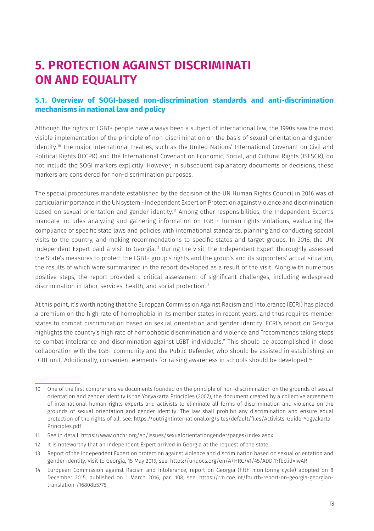### **5. PROTECTION AGAINST DISCRIMINATI ON AND EQUALITY**

### **5.1. Overview of SOGI-based non-discrimination standards and anti-discrimination mechanisms in national law and policy**

Although the rights of LGBT+ people have always been a subject of international law, the 1990s saw the most visible implementation of the principle of non-discrimination on the basis of sexual orientation and gender identity.10 The major international treaties, such as the United Nations' International Covenant on Civil and Political Rights (ICCPR) and the International Covenant on Economic, Social, and Cultural Rights (ISESCR), do not include the SOGI markers explicitly. However, in subsequent explanatory documents or decisions, these markers are considered for non-discrimination purposes.

The special procedures mandate established by the decision of the UN Human Rights Council in 2016 was of particular importance in the UN system - Independent Expert on Protection against violence and discrimination based on sexual orientation and gender identity.<sup>11</sup> Among other responsibilities, the Independent Expert's mandate includes analyzing and gathering information on LGBT+ human rights violations, evaluating the compliance of specific state laws and policies with international standards, planning and conducting special visits to the country, and making recommendations to specific states and target groups. In 2018, the UN Independent Expert paid a visit to Georgia.12 During the visit, the Independent Expert thoroughly assessed the State's measures to protect the LGBT+ group's rights and the group's and its supporters' actual situation, the results of which were summarized in the report developed as a result of the visit. Along with numerous positive steps, the report provided a critical assessment of significant challenges, including widespread discrimination in labor, services, health, and social protection.13

At this point, it's worth noting that the European Commission Against Racism and Intolerance (ECRI) has placed a premium on the high rate of homophobia in its member states in recent years, and thus requires member states to combat discrimination based on sexual orientation and gender identity. ECRI's report on Georgia highlights the country's high rate of homophobic discrimination and violence and "recommends taking steps to combat intolerance and discrimination against LGBT individuals." This should be accomplished in close collaboration with the LGBT community and the Public Defender, who should be assisted in establishing an LGBT unit. Additionally, convenient elements for raising awareness in schools should be developed.<sup>14</sup>

<sup>10</sup> One of the first comprehensive documents founded on the principle of non-discrimination on the grounds of sexual orientation and gender identity is the Yogyakarta Principles (2007), the document created by a collective agreement of international human rights experts and activists to eliminate all forms of discrimination and violence on the grounds of sexual orientation and gender identity. The law shall prohibit any discrimination and ensure equal protection of the rights of all. see: [https://outrightinternational.org/sites/default/files/Activists\\_Guide\\_Yogyakarta\\_](https://outrightinternational.org/sites/default/files/Activists_Guide_Yogyakarta_Principles.pdf) [Principles.pdf](https://outrightinternational.org/sites/default/files/Activists_Guide_Yogyakarta_Principles.pdf)

<sup>11</sup> See in detail:<https://www.ohchr.org/en/issues/sexualorientationgender/pages/index.aspx>

<sup>12</sup> It is noteworthy that an Independent Expert arrived in Georgia at the request of the state.

<sup>13</sup> Report of the Independent Expert on protection against violence and discrimination based on sexual orientation and gender identity, Visit to Georgia, 15 May 2019, see: <https://undocs.org/en/A/HRC/41/45/ADD.1?fbclid=IwAR>

<sup>14</sup> European Commission against Racism and Intolerance, report on Georgia (fifth monitoring cycle) adopted on 8 December 2015, published on 1 March 2016, par. 108, see: [https://rm.coe.int/fourth-report-on-georgia-georgian](https://rm.coe.int/fourth-report-on-georgia-georgian-translation-/16808b5775)[translation-/16808b5775](https://rm.coe.int/fourth-report-on-georgia-georgian-translation-/16808b5775)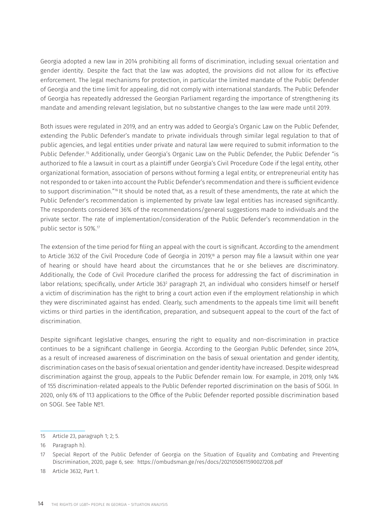Georgia adopted a new law in 2014 prohibiting all forms of discrimination, including sexual orientation and gender identity. Despite the fact that the law was adopted, the provisions did not allow for its effective enforcement. The legal mechanisms for protection, in particular the limited mandate of the Public Defender of Georgia and the time limit for appealing, did not comply with international standards. The Public Defender of Georgia has repeatedly addressed the Georgian Parliament regarding the importance of strengthening its mandate and amending relevant legislation, but no substantive changes to the law were made until 2019.

Both issues were regulated in 2019, and an entry was added to Georgia's Organic Law on the Public Defender, extending the Public Defender's mandate to private individuals through similar legal regulation to that of public agencies, and legal entities under private and natural law were required to submit information to the Public Defender.15 Additionally, under Georgia's Organic Law on the Public Defender, the Public Defender "is authorized to file a lawsuit in court as a plaintiff under Georgia's Civil Procedure Code if the legal entity, other organizational formation, association of persons without forming a legal entity, or entrepreneurial entity has not responded to or taken into account the Public Defender's recommendation and there is sufficient evidence to support discrimination."16 It should be noted that, as a result of these amendments, the rate at which the Public Defender's recommendation is implemented by private law legal entities has increased significantly. The respondents considered 36% of the recommendations/general suggestions made to individuals and the private sector. The rate of implementation/consideration of the Public Defender's recommendation in the public sector is 50%.17

The extension of the time period for filing an appeal with the court is significant. According to the amendment to Article 3632 of the Civil Procedure Code of Georgia in 2019,18 a person may file a lawsuit within one year of hearing or should have heard about the circumstances that he or she believes are discriminatory. Additionally, the Code of Civil Procedure clarified the process for addressing the fact of discrimination in labor relations; specifically, under Article 363<sup>2</sup> paragraph 21, an individual who considers himself or herself a victim of discrimination has the right to bring a court action even if the employment relationship in which they were discriminated against has ended. Clearly, such amendments to the appeals time limit will benefit victims or third parties in the identification, preparation, and subsequent appeal to the court of the fact of discrimination.

Despite significant legislative changes, ensuring the right to equality and non-discrimination in practice continues to be a significant challenge in Georgia. According to the Georgian Public Defender, since 2014, as a result of increased awareness of discrimination on the basis of sexual orientation and gender identity, discrimination cases on the basis of sexual orientation and gender identity have increased. Despite widespread discrimination against the group, appeals to the Public Defender remain low. For example, in 2019, only 14% of 155 discrimination-related appeals to the Public Defender reported discrimination on the basis of SOGI. In 2020, only 6% of 113 applications to the Office of the Public Defender reported possible discrimination based on SOGI. See Table №1.

<sup>15</sup> Article 23, paragraph 1; 2; 5.

<sup>16</sup> Paragraph h).

<sup>17</sup> Special Report of the Public Defender of Georgia on the Situation of Equality and Combating and Preventing Discrimination, 2020, page 6, see: <https://ombudsman.ge/res/docs/2021050611590027208.pdf>

<sup>18</sup> Article 3632, Part 1.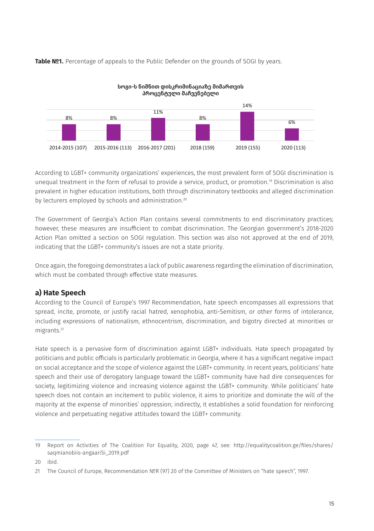Table №1. Percentage of appeals to the Public Defender on the grounds of SOGI by years.



სოგი-ს ნიშნით დისკრიმინაციაზე მიმართვის

According to LGBT+ community organizations' experiences, the most prevalent form of SOGI discrimination is unequal treatment in the form of refusal to provide a service, product, or promotion.19 Discrimination is also prevalent in higher education institutions, both through discriminatory textbooks and alleged discrimination by lecturers employed by schools and administration.<sup>20</sup>

The Government of Georgia's Action Plan contains several commitments to end discriminatory practices; however, these measures are insufficient to combat discrimination. The Georgian government's 2018-2020 Action Plan omitted a section on SOGI regulation. This section was also not approved at the end of 2019, indicating that the LGBT+ community's issues are not a state priority.

Once again, the foregoing demonstrates a lack of public awareness regarding the elimination of discrimination, which must be combated through effective state measures.

### **a) Hate Speech**

According to the Council of Europe's 1997 Recommendation, hate speech encompasses all expressions that spread, incite, promote, or justify racial hatred, xenophobia, anti-Semitism, or other forms of intolerance, including expressions of nationalism, ethnocentrism, discrimination, and bigotry directed at minorities or migrants.21

Hate speech is a pervasive form of discrimination against LGBT+ individuals. Hate speech propagated by politicians and public officials is particularly problematic in Georgia, where it has a significant negative impact on social acceptance and the scope of violence against the LGBT+ community. In recent years, politicians' hate speech and their use of derogatory language toward the LGBT+ community have had dire consequences for society, legitimizing violence and increasing violence against the LGBT+ community. While politicians' hate speech does not contain an incitement to public violence, it aims to prioritize and dominate the will of the majority at the expense of minorities' oppression; indirectly, it establishes a solid foundation for reinforcing violence and perpetuating negative attitudes toward the LGBT+ community.

<sup>19</sup> Report on Activities of The Coalition For Equality, 2020, page 47, see: [http://equalitycoalition.ge/files/shares/](http://equalitycoalition.ge/files/shares/saqmianobiis-angaariSi_2019.pdf) [saqmianobiis-angaariSi\\_2019.pdf](http://equalitycoalition.ge/files/shares/saqmianobiis-angaariSi_2019.pdf)

<sup>20</sup> ibid.

<sup>21</sup> The Council of Europe, Recommendation №R (97) 20 of the Committee of Ministers on "hate speech", 1997.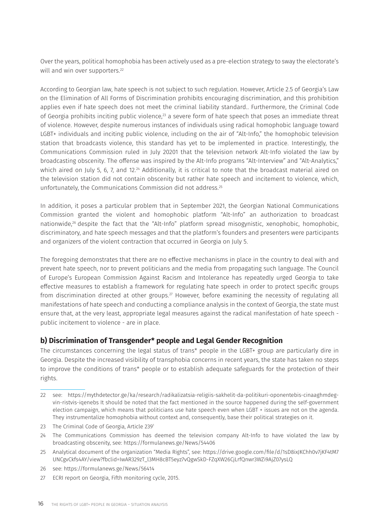Over the years, political homophobia has been actively used as a pre-election strategy to sway the electorate's will and win over supporters.<sup>22</sup>

According to Georgian law, hate speech is not subject to such regulation. However, Article 2.5 of Georgia's Law on the Elimination of All Forms of Discrimination prohibits encouraging discrimination, and this prohibition applies even if hate speech does not meet the criminal liability standard.. Furthermore, the Criminal Code of Georgia prohibits inciting public violence.<sup>23</sup> a severe form of hate speech that poses an immediate threat of violence. However, despite numerous instances of individuals using radical homophobic language toward LGBT+ individuals and inciting public violence, including on the air of "Alt-Info," the homophobic television station that broadcasts violence, this standard has yet to be implemented in practice. Interestingly, the Communications Commission ruled in July 20201 that the television network Alt-Info violated the law by broadcasting obscenity. The offense was inspired by the Alt-Info programs "Alt-Interview" and "Alt-Analytics," which aired on July 5, 6, 7, and 12.<sup>24</sup> Additionally, it is critical to note that the broadcast material aired on the television station did not contain obscenity but rather hate speech and incitement to violence, which, unfortunately, the Communications Commission did not address.25

In addition, it poses a particular problem that in September 2021, the Georgian National Communications Commission granted the violent and homophobic platform "Alt-Info" an authorization to broadcast nationwide,<sup>26</sup> despite the fact that the "Alt-Info" platform spread misogynistic, xenophobic, homophobic, discriminatory, and hate speech messages and that the platform's founders and presenters were participants and organizers of the violent contraction that occurred in Georgia on July 5.

The foregoing demonstrates that there are no effective mechanisms in place in the country to deal with and prevent hate speech, nor to prevent politicians and the media from propagating such language. The Council of Europe's European Commission Against Racism and Intolerance has repeatedly urged Georgia to take effective measures to establish a framework for regulating hate speech in order to protect specific groups from discrimination directed at other groups.<sup>27</sup> However, before examining the necessity of regulating all manifestations of hate speech and conducting a compliance analysis in the context of Georgia, the state must ensure that, at the very least, appropriate legal measures against the radical manifestation of hate speech public incitement to violence - are in place.

### **b) Discrimination of Transgender\* people and Legal Gender Recognition**

The circumstances concerning the legal status of trans\* people in the LGBT+ group are particularly dire in Georgia. Despite the increased visibility of transphobia concerns in recent years, the state has taken no steps to improve the conditions of trans\* people or to establish adequate safeguards for the protection of their rights.

- 23 The Criminal Code of Georgia, Article 2391
- 24 The Communications Commission has deemed the television company Alt-Info to have violated the law by broadcasting obscenity, see: <https://formulanews.ge/News/54406>
- 25 Analytical document of the organization "Media Rights", see: [https://drive.google.com/file/d/1sD8ixJKChh0v7jKF4tM7](https://drive.google.com/file/d/1sD8ixJKChh0v7jKF4tM7UNCgvCkfs4AY/view?fbclid=IwAR329zT_l3MH8cBT5eyz7vQgwSkD-FZqXW26CjLrfQnwr3WZi9AjZ07ysLQ) [UNCgvCkfs4AY/view?fbclid=IwAR329zT\\_l3MH8cBT5eyz7vQgwSkD-FZqXW26CjLrfQnwr3WZi9AjZ07ysLQ](https://drive.google.com/file/d/1sD8ixJKChh0v7jKF4tM7UNCgvCkfs4AY/view?fbclid=IwAR329zT_l3MH8cBT5eyz7vQgwSkD-FZqXW26CjLrfQnwr3WZi9AjZ07ysLQ)
- 26 see:<https://formulanews.ge/News/56414>
- 27 ECRI report on Georgia, Fifth monitoring cycle, 2015.

<sup>22</sup> see: [https://mythdetector.ge/ka/research/radikalizatsia-religiis-sakhelit-da-politikuri-oponentebis-cinaaghmdeg](https://mythdetector.ge/ka/research/radikalizatsia-religiis-sakhelit-da-politikuri-oponentebis-cinaaghmdeg-vin-ristvis-iqenebs)[vin-ristvis-iqenebs](https://mythdetector.ge/ka/research/radikalizatsia-religiis-sakhelit-da-politikuri-oponentebis-cinaaghmdeg-vin-ristvis-iqenebs) It should be noted that the fact mentioned in the source happened during the self-government election campaign, which means that politicians use hate speech even when LGBT + issues are not on the agenda. They instrumentalize homophobia without context and, consequently, base their political strategies on it.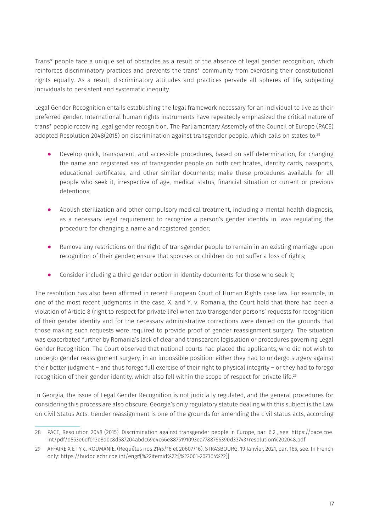Trans\* people face a unique set of obstacles as a result of the absence of legal gender recognition, which reinforces discriminatory practices and prevents the trans\* community from exercising their constitutional rights equally. As a result, discriminatory attitudes and practices pervade all spheres of life, subjecting individuals to persistent and systematic inequity.

Legal Gender Recognition entails establishing the legal framework necessary for an individual to live as their preferred gender. International human rights instruments have repeatedly emphasized the critical nature of trans\* people receiving legal gender recognition. The Parliamentary Assembly of the Council of Europe (PACE) adopted Resolution 2048(2015) on discrimination against transgender people, which calls on states to:<sup>28</sup>

- ⦁ Develop quick, transparent, and accessible procedures, based on self-determination, for changing the name and registered sex of transgender people on birth certificates, identity cards, passports, educational certificates, and other similar documents; make these procedures available for all people who seek it, irrespective of age, medical status, financial situation or current or previous detentions;
- ⦁ Abolish sterilization and other compulsory medical treatment, including a mental health diagnosis, as a necessary legal requirement to recognize a person's gender identity in laws regulating the procedure for changing a name and registered gender;
- ⦁ Remove any restrictions on the right of transgender people to remain in an existing marriage upon recognition of their gender; ensure that spouses or children do not suffer a loss of rights;
- ⦁ Consider including a third gender option in identity documents for those who seek it;

The resolution has also been affirmed in recent European Court of Human Rights case law. For example, in one of the most recent judgments in the case, X. and Y. v. Romania, the Court held that there had been a violation of Article 8 (right to respect for private life) when two transgender persons' requests for recognition of their gender identity and for the necessary administrative corrections were denied on the grounds that those making such requests were required to provide proof of gender reassignment surgery. The situation was exacerbated further by Romania's lack of clear and transparent legislation or procedures governing Legal Gender Recognition. The Court observed that national courts had placed the applicants, who did not wish to undergo gender reassignment surgery, in an impossible position: either they had to undergo surgery against their better judgment – and thus forego full exercise of their right to physical integrity – or they had to forego recognition of their gender identity, which also fell within the scope of respect for private life.<sup>29</sup>

In Georgia, the issue of Legal Gender Recognition is not judicially regulated, and the general procedures for considering this process are also obscure. Georgia's only regulatory statute dealing with this subject is the Law on Civil Status Acts. Gender reassignment is one of the grounds for amending the civil status acts, according

<sup>28</sup> PACE, Resolution 2048 (2015), Discrimination against transgender people in Europe, par. 6.2., see: [https://pace.coe.](https://pace.coe.int/pdf/d553e6df013e8a0c8d587204abdc69e4c66e8875191093ea7788766390d33743/resolution%202048.pdf) [int/pdf/d553e6df013e8a0c8d587204abdc69e4c66e8875191093ea7788766390d33743/resolution%202048.pdf](https://pace.coe.int/pdf/d553e6df013e8a0c8d587204abdc69e4c66e8875191093ea7788766390d33743/resolution%202048.pdf)

<sup>29</sup> AFFAIRE X ET Y c. ROUMANIE, (Requêtes nos 2145/16 et 20607/16), STRASBOURG, 19 Janvier, 2021, par. 165, see. In French only: https://hudoc.echr.coe.int/eng#{%22itemid%22:[%22001-207364%22]}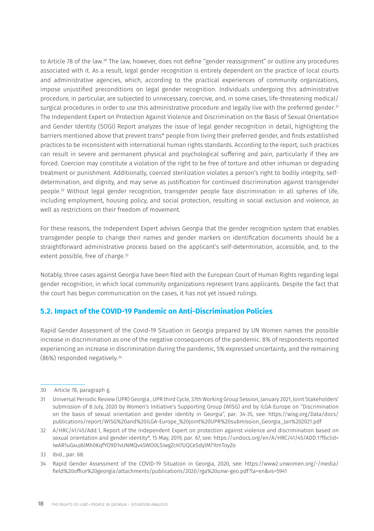to Article 78 of the law.<sup>30</sup> The law, however, does not define "gender reassignment" or outline any procedures associated with it. As a result, legal gender recognition is entirely dependent on the practice of local courts and administrative agencies, which, according to the practical experiences of community organizations, impose unjustified preconditions on legal gender recognition. Individuals undergoing this administrative procedure, in particular, are subjected to unnecessary, coercive, and, in some cases, life-threatening medical/ surgical procedures in order to use this administrative procedure and legally live with the preferred gender.<sup>31</sup> The Independent Expert on Protection Against Violence and Discrimination on the Basis of Sexual Orientation and Gender Identity (SOGI) Report analyzes the issue of legal gender recognition in detail, highlighting the barriers mentioned above that prevent trans\* people from living their preferred gender, and finds established practices to be inconsistent with international human rights standards. According to the report, such practices can result in severe and permanent physical and psychological suffering and pain, particularly if they are forced. Coercion may constitute a violation of the right to be free of torture and other inhuman or degrading treatment or punishment. Additionally, coerced sterilization violates a person's right to bodily integrity, selfdetermination, and dignity, and may serve as justification for continued discrimination against transgender people.32 Without legal gender recognition, transgender people face discrimination in all spheres of life, including employment, housing policy, and social protection, resulting in social exclusion and violence, as well as restrictions on their freedom of movement.

For these reasons, the Independent Expert advises Georgia that the gender recognition system that enables transgender people to change their names and gender markers on identification documents should be a straightforward administrative process based on the applicant's self-determination, accessible, and, to the extent possible, free of charge.<sup>33</sup>

Notably, three cases against Georgia have been filed with the European Court of Human Rights regarding legal gender recognition, in which local community organizations represent trans applicants. Despite the fact that the court has begun communication on the cases, it has not yet issued rulings.

### **5.2. Impact of the COVID-19 Pandemic on Anti-Discrimination Policies**

Rapid Gender Assessment of the Covid-19 Situation in Georgia prepared by UN Women names the possible increase in discrimination as one of the negative consequences of the pandemic. 8% of respondents reported experiencing an increase in discrimination during the pandemic, 5% expressed uncertainty, and the remaining (86%) responded negatively.34

<sup>30</sup> Article 78, paragraph g.

<sup>31</sup> Universal Periodic Review (UPR) Georgia , UPR third Cycle, 37th Working Group Session, January 2021, Joint Stakeholders' submission of 8 July, 2020 by Women's Initiative's Supporting Group (WISG) and by ILGA-Europe on "Discrimination on the basis of sexual orientation and gender identity in Georgia", par. 34-35, see: [https://wisg.org/Data/docs/](https://wisg.org/Data/docs/publications/report/WISG%20and%20ILGA-Europe_%20joint%20UPR%20submission_Georgia_Jan%202021.pdf) [publications/report/WISG%20and%20ILGA-Europe\\_%20joint%20UPR%20submission\\_Georgia\\_Jan%202021.pdf](https://wisg.org/Data/docs/publications/report/WISG%20and%20ILGA-Europe_%20joint%20UPR%20submission_Georgia_Jan%202021.pdf)

<sup>32</sup> A/HRC/41/45/Add.1, Report of the Independent Expert on protection against violence and discrimination based on sexual orientation and gender identity\*, 15 May, 2019, par. 67, see: [https://undocs.org/en/A/HRC/41/45/ADD.1?fbclid=](https://undocs.org/en/A/HRC/41/45/ADD.1?fbclid=IwAR1uGxuJ6lMh0KqfYO9D1vUNMQv4SWO0LSiwgZcH7UQCeSdylM71tmToyZo) [IwAR1uGxuJ6lMh0KqfYO9D1vUNMQv4SWO0LSiwgZcH7UQCeSdylM71tmToyZo](https://undocs.org/en/A/HRC/41/45/ADD.1?fbclid=IwAR1uGxuJ6lMh0KqfYO9D1vUNMQv4SWO0LSiwgZcH7UQCeSdylM71tmToyZo) 

<sup>33</sup> ibid., par. 68.

<sup>34</sup> Rapid Gender Assessment of the COVID-19 Situation in Georgia, 2020, see: [https://www2.unwomen.org/-/media/](https://www2.unwomen.org/-/media/field%20office%20georgia/attachments/publications/2020/rga%20unw-geo.pdf?la=en&vs=5941) [field%20office%20georgia/attachments/publications/2020/rga%20unw-geo.pdf?la=en&vs=5941](https://www2.unwomen.org/-/media/field%20office%20georgia/attachments/publications/2020/rga%20unw-geo.pdf?la=en&vs=5941)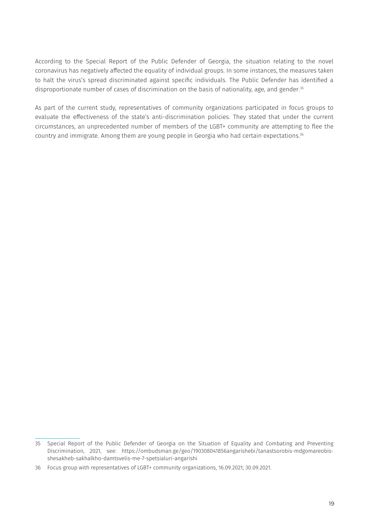According to the Special Report of the Public Defender of Georgia, the situation relating to the novel coronavirus has negatively affected the equality of individual groups. In some instances, the measures taken to halt the virus's spread discriminated against specific individuals. The Public Defender has identified a disproportionate number of cases of discrimination on the basis of nationality, age, and gender.<sup>35</sup>

As part of the current study, representatives of community organizations participated in focus groups to evaluate the effectiveness of the state's anti-discrimination policies. They stated that under the current circumstances, an unprecedented number of members of the LGBT+ community are attempting to flee the country and immigrate. Among them are young people in Georgia who had certain expectations.36

<sup>35</sup> Special Report of the Public Defender of Georgia on the Situation of Equality and Combating and Preventing Discrimination, 2021, see: [https://ombudsman.ge/geo/190308041856angarishebi/tanastsorobis-mdgomareobis](https://ombudsman.ge/geo/190308041856angarishebi/tanastsorobis-mdgomareobis-shesakheb-sakhalkho-damtsvelis-me-7-spetsialuri-angarishi)[shesakheb-sakhalkho-damtsvelis-me-7-spetsialuri-angarishi](https://ombudsman.ge/geo/190308041856angarishebi/tanastsorobis-mdgomareobis-shesakheb-sakhalkho-damtsvelis-me-7-spetsialuri-angarishi) 

<sup>36</sup> Focus group with representatives of LGBT+ community organizations, 16.09.2021; 30.09.2021.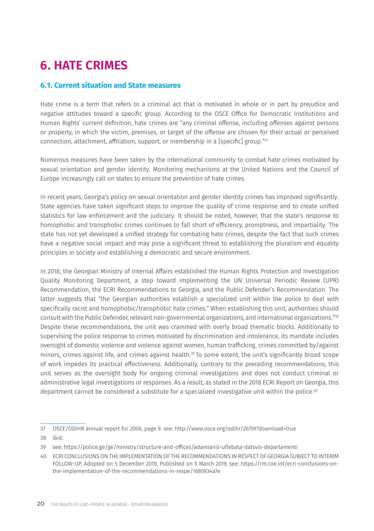# **6. HATE CRIMES**

### **6.1. Current situation and State measures**

Hate crime is a term that refers to a criminal act that is motivated in whole or in part by prejudice and negative attitudes toward a specific group. According to the OSCE Office for Democratic Institutions and Human Rights' current definition, hate crimes are "any criminal offense, including offenses against persons or property, in which the victim, premises, or target of the offense are chosen for their actual or perceived connection, attachment, affiliation, support, or membership in a [specific] group."37

Numerous measures have been taken by the international community to combat hate crimes motivated by sexual orientation and gender identity. Monitoring mechanisms at the United Nations and the Council of Europe increasingly call on states to ensure the prevention of hate crimes.

In recent years, Georgia's policy on sexual orientation and gender identity crimes has improved significantly. State agencies have taken significant steps to improve the quality of crime response and to create unified statistics for law enforcement and the judiciary. It should be noted, however, that the state's response to homophobic and transphobic crimes continues to fall short of efficiency, promptness, and impartiality. The state has not yet developed a unified strategy for combating hate crimes, despite the fact that such crimes have a negative social impact and may pose a significant threat to establishing the pluralism and equality principles in society and establishing a democratic and secure environment.

In 2018, the Georgian Ministry of Internal Affairs established the Human Rights Protection and Investigation Quality Monitoring Department, a step toward implementing the UN Universal Periodic Review (UPR) Recommendation, the ECRI Recommendations to Georgia, and the Public Defender's Recommendation. The latter suggests that "the Georgian authorities establish a specialized unit within the police to deal with specifically racist and homophobic/transphobic hate crimes." When establishing this unit, authorities should consult with the Public Defender, relevant non-governmental organizations, and international organizations."38 Despite these recommendations, the unit was crammed with overly broad thematic blocks. Additionally to supervising the police response to crimes motivated by discrimination and intolerance, its mandate includes oversight of domestic violence and violence against women, human trafficking, crimes committed by/against minors, crimes against life, and crimes against health.39 To some extent, the unit's significantly broad scope of work impedes its practical effectiveness. Additionally, contrary to the preceding recommendations, this unit serves as the oversight body for ongoing criminal investigations and does not conduct criminal or administrative legal investigations or responses. As a result, as stated in the 2018 ECRI Report on Georgia, this department cannot be considered a substitute for a specialized investigative unit within the police.<sup>40</sup>

<sup>37</sup> OSCE/ODIHR annual report for 2006, page 9. see:<http://www.osce.org/odihr/26759?download=true>

<sup>38</sup> ibid.

<sup>39</sup> see:<https://police.ge/ge/ministry/structure-and-offices/adamianis-uflebata-datsvis-departamenti>

<sup>40</sup> ECRI CONCLUSIONS ON THE IMPLEMENTATION OF THE RECOMMENDATIONS IN RESPECT OF GEORGIA SUBJECT TO INTERIM FOLLOW-UP, Adopted on 5 December 2018, Published on 5 March 2019, see: [https://rm.coe.int/ecri-conclusions-on](https://rm.coe.int/ecri-conclusions-on-the-implementation-of-the-recommendations-in-respe/1680934a7e)[the-implementation-of-the-recommendations-in-respe/1680934a7e](https://rm.coe.int/ecri-conclusions-on-the-implementation-of-the-recommendations-in-respe/1680934a7e)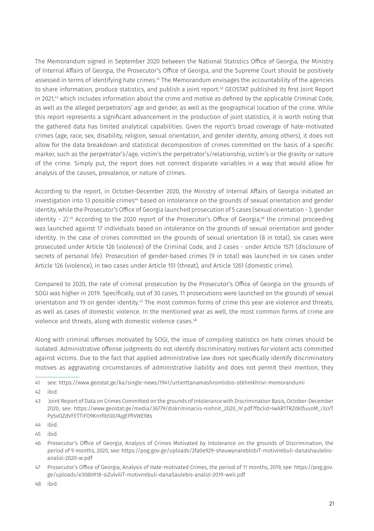The Memorandum signed in September 2020 between the National Statistics Office of Georgia, the Ministry of Internal Affairs of Georgia, the Prosecutor's Office of Georgia, and the Supreme Court should be positively assessed in terms of identifying hate crimes.41 The Memorandum envisages the accountability of the agencies to share information, produce statistics, and publish a joint report.<sup>42</sup> GEOSTAT published its first Joint Report in 2021,<sup>43</sup> which includes information about the crime and motive as defined by the applicable Criminal Code, as well as the alleged perpetrators' age and gender, as well as the geographical location of the crime. While this report represents a significant advancement in the production of joint statistics, it is worth noting that the gathered data has limited analytical capabilities. Given the report's broad coverage of hate-motivated crimes (age, race, sex, disability, religion, sexual orientation, and gender identity, among others), it does not allow for the data breakdown and statistical decomposition of crimes committed on the basis of a specific marker, such as the perpetrator's/age, victim's the perpetrator's/relationship, victim's or the gravity or nature of the crime. Simply put, the report does not connect disparate variables in a way that would allow for analysis of the causes, prevalence, or nature of crimes.

According to the report, in October-December 2020, the Ministry of Internal Affairs of Georgia initiated an investigation into 13 possible crimes<sup>44</sup> based on intolerance on the grounds of sexual orientation and gender identity, while the Prosecutor's Office of Georgia launched prosecution of 5 cases (sexual orientation - 3, gender identity - 2).<sup>45</sup> According to the 2020 report of the Prosecutor's Office of Georgia,<sup>46</sup> the criminal proceeding was launched against 17 individuals based on intolerance on the grounds of sexual orientation and gender identity. In the case of crimes committed on the grounds of sexual orientation (8 in total), six cases were prosecuted under Article 126 (violence) of the Criminal Code, and 2 cases - under Article 1571 (disclosure of secrets of personal life). Prosecution of gender-based crimes (9 in total) was launched in six cases under Article 126 (violence), in two cases under Article 151 (threat), and Article 1261 (domestic crime).

Compared to 2020, the rate of criminal prosecution by the Prosecutor's Office of Georgia on the grounds of SOGI was higher in 2019. Specifically, out of 30 cases, 11 prosecutions were launched on the grounds of sexual orientation and 19 on gender identity.<sup>47</sup> The most common forms of crime this year are violence and threats, as well as cases of domestic violence. In the mentioned year as well, the most common forms of crime are violence and threats, along with domestic violence cases.<sup>48</sup>

Along with criminal offenses motivated by SOGI, the issue of compiling statistics on hate crimes should be isolated. Administrative offense judgments do not identify discriminatory motives for violent acts committed against victims. Due to the fact that applied administrative law does not specifically identify discriminatory motives as aggravating circumstances of administrative liability and does not permit their mention, they

41 see: <https://www.geostat.ge/ka/single-news/1941/urtierttanamashromlobis-otkhmkhrivi-memorandumi>

42 ibid.

- 46 Prosecutor's Office of Georgia, Analysis of Crimes Motivated by Intolerance on the grounds of Discrimination, the period of 9 months, 2020, see: [https://pog.gov.ge/uploads/2fa0e929-sheuwynareblobiT-motivirebuli-danashaulebis](https://pog.gov.ge/uploads/2fa0e929-sheuwynareblobiT-motivirebuli-danashaulebis-analizi-2020-w.pdf)[analizi-2020-w.pdf](https://pog.gov.ge/uploads/2fa0e929-sheuwynareblobiT-motivirebuli-danashaulebis-analizi-2020-w.pdf)
- 47 Prosecutor's Office of Georgia, Analysis of Hate-motivated Crimes, the period of 11 months, 2019, see: [https://pog.gov.](https://pog.gov.ge/uploads/e308b918-siZulviliT-motivirebuli-danaSaulebis-analizi-2019-weli.pdf) [ge/uploads/e308b918-siZulviliT-motivirebuli-danaSaulebis-analizi-2019-weli.pdf](https://pog.gov.ge/uploads/e308b918-siZulviliT-motivirebuli-danaSaulebis-analizi-2019-weli.pdf)

<sup>43</sup> Joint Report of Data on Crimes Committed on the grounds of Intolerance with Discrimination Basis, October-December 2020, see: [https://www.geostat.ge/media/36779/diskriminaciis-nishnit\\_2020\\_IV.pdf?fbclid=IwAR1TRZdklfuunM\\_i3sVT](https://www.geostat.ge/media/36779/diskriminaciis-nishnit_2020_IV.pdf?fbclid=IwAR1TRZdklfuunM_i3sVTPy5vOZdVFETTiFO9KrnfIb5lb7AjgEFfiVWE98s) [Py5vOZdVFETTiFO9KrnfIb5lb7AjgEFfiVWE98s](https://www.geostat.ge/media/36779/diskriminaciis-nishnit_2020_IV.pdf?fbclid=IwAR1TRZdklfuunM_i3sVTPy5vOZdVFETTiFO9KrnfIb5lb7AjgEFfiVWE98s) 

<sup>44</sup> ibid.

<sup>45</sup> ibid.

<sup>48</sup> ibid.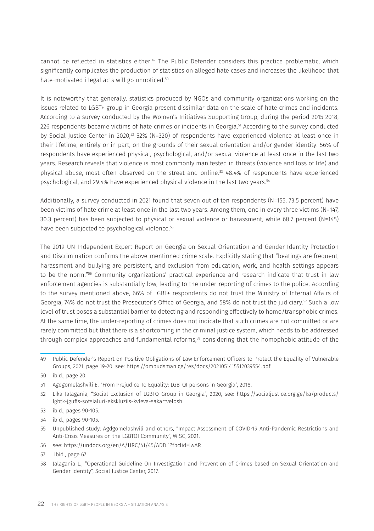cannot be reflected in statistics either.49 The Public Defender considers this practice problematic, which significantly complicates the production of statistics on alleged hate cases and increases the likelihood that hate-motivated illegal acts will go unnoticed.50

It is noteworthy that generally, statistics produced by NGOs and community organizations working on the issues related to LGBT+ group in Georgia present dissimilar data on the scale of hate crimes and incidents. According to a survey conducted by the Women's Initiatives Supporting Group, during the period 2015-2018, 226 respondents became victims of hate crimes or incidents in Georgia.51 According to the survey conducted by Social Justice Center in 2020,52 52% (N=320) of respondents have experienced violence at least once in their lifetime, entirely or in part, on the grounds of their sexual orientation and/or gender identity. 56% of respondents have experienced physical, psychological, and/or sexual violence at least once in the last two years. Research reveals that violence is most commonly manifested in threats (violence and loss of life) and physical abuse, most often observed on the street and online.53 48.4% of respondents have experienced psychological, and 29.4% have experienced physical violence in the last two years.54

Additionally, a survey conducted in 2021 found that seven out of ten respondents (N=155, 73.5 percent) have been victims of hate crime at least once in the last two years. Among them, one in every three victims (N=147, 30.3 percent) has been subjected to physical or sexual violence or harassment, while 68.7 percent (N=145) have been subjected to psychological violence.<sup>55</sup>

The 2019 UN Independent Expert Report on Georgia on Sexual Orientation and Gender Identity Protection and Discrimination confirms the above-mentioned crime scale. Explicitly stating that "beatings are frequent, harassment and bullying are persistent, and exclusion from education, work, and health settings appears to be the norm."56 Community organizations' practical experience and research indicate that trust in law enforcement agencies is substantially low, leading to the under-reporting of crimes to the police. According to the survey mentioned above, 66% of LGBT+ respondents do not trust the Ministry of Internal Affairs of Georgia, 74% do not trust the Prosecutor's Office of Georgia, and 58% do not trust the judiciary.<sup>57</sup> Such a low level of trust poses a substantial barrier to detecting and responding effectively to homo/transphobic crimes. At the same time, the under-reporting of crimes does not indicate that such crimes are not committed or are rarely committed but that there is a shortcoming in the criminal justice system, which needs to be addressed through complex approaches and fundamental reforms,<sup>58</sup> considering that the homophobic attitude of the

<sup>49</sup> Public Defender's Report on Positive Obligations of Law Enforcement Officers to Protect the Equality of Vulnerable Groups, 2021, page 19-20. see:<https://ombudsman.ge/res/docs/2021051415512039554.pdf>

<sup>50</sup> ibid., page 20.

<sup>51</sup> Agdgomelashvili E. "From Prejudice To Equality: LGBTQI persons in Georgia", 2018.

<sup>52</sup> Lika Jalagania, "Social Exclusion of LGBTQ Group in Georgia", 2020, see: [https://socialjustice.org.ge/ka/products/](https://socialjustice.org.ge/ka/products/lgbtk-jgufis-sotsialuri-ekskluziis-kvleva-sakartveloshi) [lgbtk-jgufis-sotsialuri-ekskluziis-kvleva-sakartveloshi](https://socialjustice.org.ge/ka/products/lgbtk-jgufis-sotsialuri-ekskluziis-kvleva-sakartveloshi)

<sup>53</sup> ibid., pages 90-105.

<sup>54</sup> ibid., pages 90-105.

<sup>55</sup> Unpublished study: Agdgomelashvili and others, "Impact Assessment of COVID-19 Anti-Pandemic Restrictions and Anti-Crisis Measures on the LGBTQI Community", WISG, 2021.

<sup>56</sup> see:<https://undocs.org/en/A/HRC/41/45/ADD.1?fbclid=IwAR>

<sup>57</sup> ibid., page 67.

<sup>58</sup> Jalagania L., "Operational Guideline On Investigation and Prevention of Crimes based on Sexual Orientation and Gender Identity", Social Justice Center, 2017.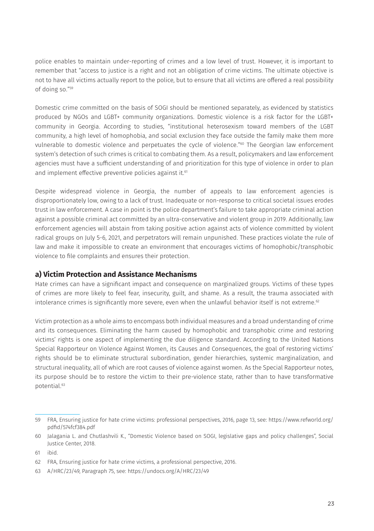police enables to maintain under-reporting of crimes and a low level of trust. However, it is important to remember that "access to justice is a right and not an obligation of crime victims. The ultimate objective is not to have all victims actually report to the police, but to ensure that all victims are offered a real possibility of doing so."59

Domestic crime committed on the basis of SOGI should be mentioned separately, as evidenced by statistics produced by NGOs and LGBT+ community organizations. Domestic violence is a risk factor for the LGBT+ community in Georgia. According to studies, "institutional heterosexism toward members of the LGBT community, a high level of homophobia, and social exclusion they face outside the family make them more vulnerable to domestic violence and perpetuates the cycle of violence."60 The Georgian law enforcement system's detection of such crimes is critical to combating them. As a result, policymakers and law enforcement agencies must have a sufficient understanding of and prioritization for this type of violence in order to plan and implement effective preventive policies against it.<sup>61</sup>

Despite widespread violence in Georgia, the number of appeals to law enforcement agencies is disproportionately low, owing to a lack of trust. Inadequate or non-response to critical societal issues erodes trust in law enforcement. A case in point is the police department's failure to take appropriate criminal action against a possible criminal act committed by an ultra-conservative and violent group in 2019. Additionally, law enforcement agencies will abstain from taking positive action against acts of violence committed by violent radical groups on July 5-6, 2021, and perpetrators will remain unpunished. These practices violate the rule of law and make it impossible to create an environment that encourages victims of homophobic/transphobic violence to file complaints and ensures their protection.

### **a) Victim Protection and Assistance Mechanisms**

Hate crimes can have a significant impact and consequence on marginalized groups. Victims of these types of crimes are more likely to feel fear, insecurity, guilt, and shame. As a result, the trauma associated with intolerance crimes is significantly more severe, even when the unlawful behavior itself is not extreme.<sup>62</sup>

Victim protection as a whole aims to encompass both individual measures and a broad understanding of crime and its consequences. Eliminating the harm caused by homophobic and transphobic crime and restoring victims' rights is one aspect of implementing the due diligence standard. According to the United Nations Special Rapporteur on Violence Against Women, its Causes and Consequences, the goal of restoring victims' rights should be to eliminate structural subordination, gender hierarchies, systemic marginalization, and structural inequality, all of which are root causes of violence against women. As the Special Rapporteur notes, its purpose should be to restore the victim to their pre-violence state, rather than to have transformative potential.63

<sup>59</sup> FRA, Ensuring justice for hate crime victims: professional perspectives, 2016, page 13, see: [https://www.refworld.org/](https://www.refworld.org/pdfid/574fcf384.pdf) [pdfid/574fcf384.pdf](https://www.refworld.org/pdfid/574fcf384.pdf)

<sup>60</sup> Jalagania L. and Chutlashvili K., "Domestic Violence based on SOGI, legislative gaps and policy challenges", Social Justice Center, 2018.

<sup>61</sup> ibid.

<sup>62</sup> FRA, Ensuring justice for hate crime victims, a professional perspective, 2016.

<sup>63</sup> A/HRC/23/49, Paragraph 75, see:<https://undocs.org/A/HRC/23/49>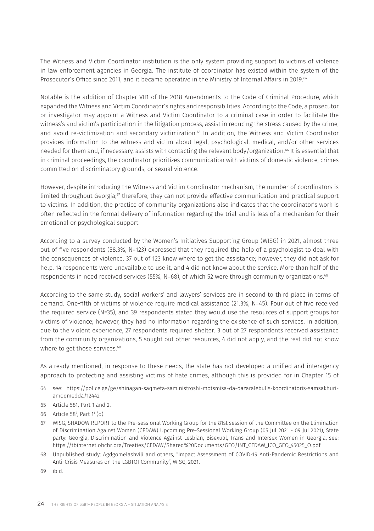The Witness and Victim Coordinator institution is the only system providing support to victims of violence in law enforcement agencies in Georgia. The institute of coordinator has existed within the system of the Prosecutor's Office since 2011, and it became operative in the Ministry of Internal Affairs in 2019.<sup>64</sup>

Notable is the addition of Chapter VII1 of the 2018 Amendments to the Code of Criminal Procedure, which expanded the Witness and Victim Coordinator's rights and responsibilities. According to the Code, a prosecutor or investigator may appoint a Witness and Victim Coordinator to a criminal case in order to facilitate the witness's and victim's participation in the litigation process, assist in reducing the stress caused by the crime, and avoid re-victimization and secondary victimization.<sup>65</sup> In addition, the Witness and Victim Coordinator provides information to the witness and victim about legal, psychological, medical, and/or other services needed for them and, if necessary, assists with contacting the relevant body/organization.<sup>66</sup> It is essential that in criminal proceedings, the coordinator prioritizes communication with victims of domestic violence, crimes committed on discriminatory grounds, or sexual violence.

However, despite introducing the Witness and Victim Coordinator mechanism, the number of coordinators is limited throughout Georgia;<sup>67</sup> therefore, they can not provide effective communication and practical support to victims. In addition, the practice of community organizations also indicates that the coordinator's work is often reflected in the formal delivery of information regarding the trial and is less of a mechanism for their emotional or psychological support.

According to a survey conducted by the Women's Initiatives Supporting Group (WISG) in 2021, almost three out of five respondents (58.3%, N=123) expressed that they required the help of a psychologist to deal with the consequences of violence. 37 out of 123 knew where to get the assistance; however, they did not ask for help, 14 respondents were unavailable to use it, and 4 did not know about the service. More than half of the respondents in need received services (55%, N=68), of which 52 were through community organizations.68

According to the same study, social workers' and lawyers' services are in second to third place in terms of demand. One-fifth of victims of violence require medical assistance (21.3%, N=45). Four out of five received the required service (N=35), and 39 respondents stated they would use the resources of support groups for victims of violence; however, they had no information regarding the existence of such services. In addition, due to the violent experience, 27 respondents required shelter. 3 out of 27 respondents received assistance from the community organizations, 5 sought out other resources, 4 did not apply, and the rest did not know where to get those services.<sup>69</sup>

As already mentioned, in response to these needs, the state has not developed a unified and interagency approach to protecting and assisting victims of hate crimes, although this is provided for in Chapter 15 of

- 64 see: [https://police.ge/ge/shinagan-saqmeta-saministroshi-motsmisa-da-dazaralebulis-koordinatoris-samsakhuri](https://police.ge/ge/shinagan-saqmeta-saministroshi-motsmisa-da-dazaralebulis-koordinatoris-samsakhuri-amoqmedda/12442)[amoqmedda/12442](https://police.ge/ge/shinagan-saqmeta-saministroshi-motsmisa-da-dazaralebulis-koordinatoris-samsakhuri-amoqmedda/12442)
- 65 Article 581, Part 1 and 2.
- 66 Article 582 , Part 11 (d).
- 67 WISG, SHADOW REPORT to the Pre-sessional Working Group for the 81st session of the Committee on the Elimination of Discrimination Against Women (CEDAW) Upcoming Pre-Sessional Working Group (05 Jul 2021 - 09 Jul 2021), State party: Georgia, Discrimination and Violence Against Lesbian, Bisexual, Trans and Intersex Women in Georgia, see: [https://tbinternet.ohchr.org/Treaties/CEDAW/Shared%20Documents/GEO/INT\\_CEDAW\\_ICO\\_GEO\\_45025\\_O.pdf](https://tbinternet.ohchr.org/Treaties/CEDAW/Shared%20Documents/GEO/INT_CEDAW_ICO_GEO_45025_O.pdf)
- 68 Unpublished study: Agdgomelashvili and others, "Impact Assessment of COVID-19 Anti-Pandemic Restrictions and Anti-Crisis Measures on the LGBTQI Community", WISG, 2021.
- 69 ibid.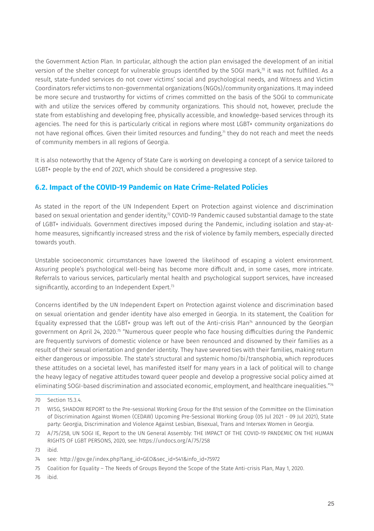the Government Action Plan. In particular, although the action plan envisaged the development of an initial version of the shelter concept for vulnerable groups identified by the SOGI mark,<sup>70</sup> it was not fulfilled. As a result, state-funded services do not cover victims' social and psychological needs, and Witness and Victim Coordinators refer victims to non-governmental organizations (NGOs)/community organizations. It may indeed be more secure and trustworthy for victims of crimes committed on the basis of the SOGI to communicate with and utilize the services offered by community organizations. This should not, however, preclude the state from establishing and developing free, physically accessible, and knowledge-based services through its agencies. The need for this is particularly critical in regions where most LGBT+ community organizations do not have regional offices. Given their limited resources and funding,<sup>71</sup> they do not reach and meet the needs of community members in all regions of Georgia.

It is also noteworthy that the Agency of State Care is working on developing a concept of a service tailored to LGBT+ people by the end of 2021, which should be considered a progressive step.

### **6.2. Impact of the COVID-19 Pandemic on Hate Crime-Related Policies**

As stated in the report of the UN Independent Expert on Protection against violence and discrimination based on sexual orientation and gender identity,<sup>72</sup> COVID-19 Pandemic caused substantial damage to the state of LGBT+ individuals. Government directives imposed during the Pandemic, including isolation and stay-athome measures, significantly increased stress and the risk of violence by family members, especially directed towards youth.

Unstable socioeconomic circumstances have lowered the likelihood of escaping a violent environment. Assuring people's psychological well-being has become more difficult and, in some cases, more intricate. Referrals to various services, particularly mental health and psychological support services, have increased significantly, according to an Independent Expert.<sup>73</sup>

Concerns identified by the UN Independent Expert on Protection against violence and discrimination based on sexual orientation and gender identity have also emerged in Georgia. In its statement, the Coalition for Equality expressed that the LGBT+ group was left out of the Anti-crisis Plan<sup>74</sup> announced by the Georgian government on April 24, 2020.75 "Numerous queer people who face housing difficulties during the Pandemic are frequently survivors of domestic violence or have been renounced and disowned by their families as a result of their sexual orientation and gender identity. They have severed ties with their families, making return either dangerous or impossible. The state's structural and systemic homo/bi/transphobia, which reproduces these attitudes on a societal level, has manifested itself for many years in a lack of political will to change the heavy legacy of negative attitudes toward queer people and develop a progressive social policy aimed at eliminating SOGI-based discrimination and associated economic, employment, and healthcare inequalities."76

76 ibid.

<sup>70</sup> Section 15.3.4.

<sup>71</sup> WISG, SHADOW REPORT to the Pre-sessional Working Group for the 81st session of the Committee on the Elimination of Discrimination Against Women (CEDAW) Upcoming Pre-Sessional Working Group (05 Jul 2021 - 09 Jul 2021), State party: Georgia, Discrimination and Violence Against Lesbian, Bisexual, Trans and Intersex Women in Georgia.

<sup>72</sup> A/75/258, UN SOGI IE, Report to the UN General Assembly: THE IMPACT OF THE COVID-19 PANDEMIC ON THE HUMAN RIGHTS OF LGBT PERSONS, 2020, see:<https://undocs.org/A/75/258>

<sup>73</sup> ibid.

<sup>74</sup> see: [http://gov.ge/index.php?lang\\_id=GEO&sec\\_id=541&info\\_id=75972](http://gov.ge/index.php?lang_id=GEO&sec_id=541&info_id=75972)

<sup>75</sup> Coalition for Equality – The Needs of Groups Beyond the Scope of the State Anti-crisis Plan, May 1, 2020.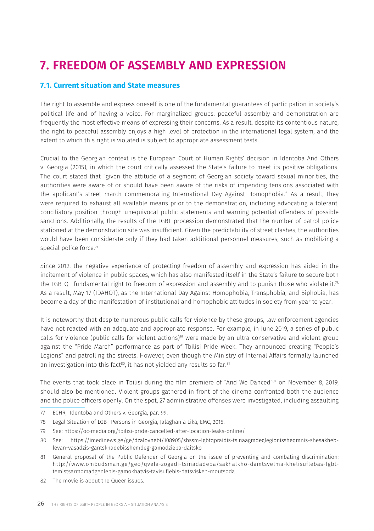# **7. FREEDOM OF ASSEMBLY AND EXPRESSION**

### **7.1. Current situation and State measures**

The right to assemble and express oneself is one of the fundamental guarantees of participation in society's political life and of having a voice. For marginalized groups, peaceful assembly and demonstration are frequently the most effective means of expressing their concerns. As a result, despite its contentious nature, the right to peaceful assembly enjoys a high level of protection in the international legal system, and the extent to which this right is violated is subject to appropriate assessment tests.

Crucial to the Georgian context is the European Court of Human Rights' decision in Identoba And Others v. Georgia (2015), in which the court critically assessed the State's failure to meet its positive obligations. The court stated that "given the attitude of a segment of Georgian society toward sexual minorities, the authorities were aware of or should have been aware of the risks of impending tensions associated with the applicant's street march commemorating International Day Against Homophobia." As a result, they were required to exhaust all available means prior to the demonstration, including advocating a tolerant, conciliatory position through unequivocal public statements and warning potential offenders of possible sanctions. Additionally, the results of the LGBT procession demonstrated that the number of patrol police stationed at the demonstration site was insufficient. Given the predictability of street clashes, the authorities would have been considerate only if they had taken additional personnel measures, such as mobilizing a special police force.<sup>77</sup>

Since 2012, the negative experience of protecting freedom of assembly and expression has aided in the incitement of violence in public spaces, which has also manifested itself in the State's failure to secure both the LGBTQ+ fundamental right to freedom of expression and assembly and to punish those who violate it.<sup>78</sup> As a result, May 17 (IDAHOT), as the International Day Against Homophobia, Transphobia, and Biphobia, has become a day of the manifestation of institutional and homophobic attitudes in society from year to year.

It is noteworthy that despite numerous public calls for violence by these groups, law enforcement agencies have not reacted with an adequate and appropriate response. For example, in June 2019, a series of public calls for violence (public calls for violent actions)<sup>79</sup> were made by an ultra-conservative and violent group against the "Pride March" performance as part of Tbilisi Pride Week. They announced creating "People's Legions" and patrolling the streets. However, even though the Ministry of Internal Affairs formally launched an investigation into this fact<sup>80</sup>, it has not yielded any results so far.<sup>81</sup>

The events that took place in Tbilisi during the film premiere of "And We Danced"82 on November 8, 2019, should also be mentioned. Violent groups gathered in front of the cinema confronted both the audience and the police officers openly. On the spot, 27 administrative offenses were investigated, including assaulting

- 77 ECHR, Identoba and Others v. Georgia, par. 99.
- 78 Legal Situation of LGBT Persons in Georgia, Jalaghania Lika, EMC, 2015.
- 79 See: <https://oc-media.org/tbilisi-pride-cancelled-after-location-leaks-online/>
- 80 See: [https://imedinews.ge/ge/dzalovnebi/108905/shssm-lgbtqpraidis-tsinaagmdeglegionissheqmnis-shesakheb](https://imedinews.ge/ge/dzalovnebi/108905/shssm-lgbtqpraidis-tsinaagmdeglegionissheqmnis-shesakheb-levan-vasadzis-gantskhadebisshemdeg-gamodzieba-daitsko)[levan-vasadzis-gantskhadebisshemdeg-gamodzieba-daitsko](https://imedinews.ge/ge/dzalovnebi/108905/shssm-lgbtqpraidis-tsinaagmdeglegionissheqmnis-shesakheb-levan-vasadzis-gantskhadebisshemdeg-gamodzieba-daitsko)
- 81 General proposal of the Public Defender of Georgia on the issue of preventing and combating discrimination: [http://www.ombudsman.ge/geo/qvela-zogadi-tsinadadeba/sakhalkho-damtsvelma-khelisuflebas-lgbt](http://www.ombudsman.ge/geo/qvela-zogadi-tsinadadeba/sakhalkho-damtsvelma-khelisuflebas-lgbt-temistsarmomadgenlebis-gamokhatvis-tavisuflebis-datsvisken-moutsoda)[temistsarmomadgenlebis-gamokhatvis-tavisuflebis-datsvisken-moutsoda](http://www.ombudsman.ge/geo/qvela-zogadi-tsinadadeba/sakhalkho-damtsvelma-khelisuflebas-lgbt-temistsarmomadgenlebis-gamokhatvis-tavisuflebis-datsvisken-moutsoda)
- 82 The movie is about the Queer issues.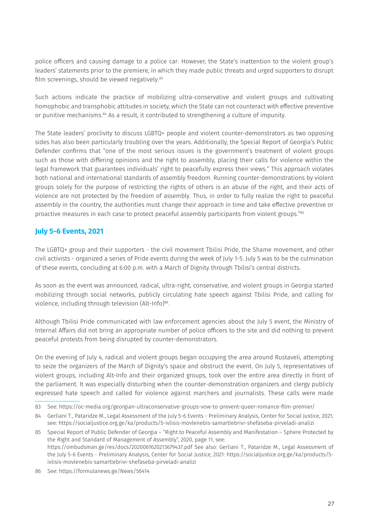police officers and causing damage to a police car. However, the State's inattention to the violent group's leaders' statements prior to the premiere, in which they made public threats and urged supporters to disrupt film screenings, should be viewed negatively.<sup>83</sup>

Such actions indicate the practice of mobilizing ultra-conservative and violent groups and cultivating homophobic and transphobic attitudes in society, which the State can not counteract with effective preventive or punitive mechanisms.84 As a result, it contributed to strengthening a culture of impunity.

The State leaders' proclivity to discuss LGBTQ+ people and violent counter-demonstrators as two opposing sides has also been particularly troubling over the years. Additionally, the Special Report of Georgia's Public Defender confirms that "one of the most serious issues is the government's treatment of violent groups such as those with differing opinions and the right to assembly, placing their calls for violence within the legal framework that guarantees individuals' right to peacefully express their views." This approach violates both national and international standards of assembly freedom. Running counter-demonstrations by violent groups solely for the purpose of restricting the rights of others is an abuse of the right, and their acts of violence are not protected by the freedom of assembly. Thus, in order to fully realize the right to peaceful assembly in the country, the authorities must change their approach in time and take effective preventive or proactive measures in each case to protect peaceful assembly participants from violent groups."85

### **July 5-6 Events, 2021**

The LGBTQ+ group and their supporters - the civil movement Tbilisi Pride, the Shame movement, and other civil activists - organized a series of Pride events during the week of July 1-5. July 5 was to be the culmination of these events, concluding at 6:00 p.m. with a March of Dignity through Tbilisi's central districts.

As soon as the event was announced, radical, ultra-right, conservative, and violent groups in Georgia started mobilizing through social networks, publicly circulating hate speech against Tbilisi Pride, and calling for violence, including through television (Alt-Info)<sup>86</sup>.

Although Tbilisi Pride communicated with law enforcement agencies about the July 5 event, the Ministry of Internal Affairs did not bring an appropriate number of police officers to the site and did nothing to prevent peaceful protests from being disrupted by counter-demonstrators.

On the evening of July 4, radical and violent groups began occupying the area around Rustaveli, attempting to seize the organizers of the March of Dignity's space and obstruct the event. On July 5, representatives of violent groups, including Alt-Info and their organized groups, took over the entire area directly in front of the parliament. It was especially disturbing when the counter-demonstration organizers and clergy publicly expressed hate speech and called for violence against marchers and journalists. These calls were made

<sup>83</sup> See:<https://oc-media.org/georgian-ultraconservative-groups-vow-to-prevent-queer-romance-film-premier/>

<sup>84</sup> Gerliani T., Pataridze M., Legal Assessment of the July 5-6 Events - Preliminary Analysis, Center for Social Justice, 2021, see: <https://socialjustice.org.ge/ka/products/5-ivlisis-movlenebis-samartlebrivi-shefaseba-pirveladi-analizi>

<sup>85</sup> Special Report of Public Defender of Georgia – "Right to Peaceful Assembly and Manifestation – Sphere Protected by the Right and Standard of Management of Assembly", 2020, page 11, see: <https://ombudsman.ge/res/docs/2020061620213679437.pdf>See also: Gerliani T., Pataridze M., Legal Assessment of the July 5-6 Events - Preliminary Analysis, Center for Social Justice, 2021: [https://socialjustice.org.ge/ka/products/5](https://socialjustice.org.ge/ka/products/5-ivlisis-movlenebis-samartlebrivi-shefaseba-pirveladi-analizi) [ivlisis-movlenebis-samartlebrivi-shefaseba-pirveladi-analizi](https://socialjustice.org.ge/ka/products/5-ivlisis-movlenebis-samartlebrivi-shefaseba-pirveladi-analizi) 

<sup>86</sup> See:<https://formulanews.ge/News/56414>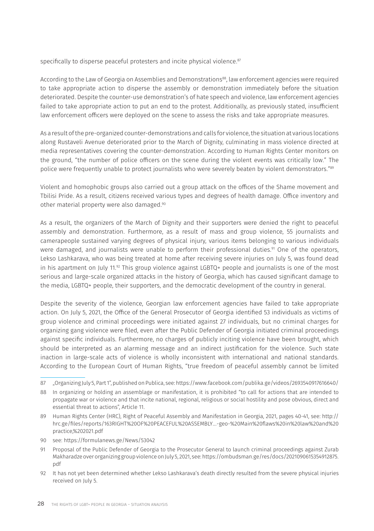specifically to disperse peaceful protesters and incite physical violence.<sup>87</sup>

According to the Law of Georgia on Assemblies and Demonstrations<sup>88</sup>, law enforcement agencies were required to take appropriate action to disperse the assembly or demonstration immediately before the situation deteriorated. Despite the counter-use demonstration's of hate speech and violence, law enforcement agencies failed to take appropriate action to put an end to the protest. Additionally, as previously stated, insufficient law enforcement officers were deployed on the scene to assess the risks and take appropriate measures.

As a result of the pre-organized counter-demonstrations and calls for violence, the situation at various locations along Rustaveli Avenue deteriorated prior to the March of Dignity, culminating in mass violence directed at media representatives covering the counter-demonstration. According to Human Rights Center monitors on the ground, "the number of police officers on the scene during the violent events was critically low." The police were frequently unable to protect journalists who were severely beaten by violent demonstrators."89

Violent and homophobic groups also carried out a group attack on the offices of the Shame movement and Tbilisi Pride. As a result, citizens received various types and degrees of health damage. Office inventory and other material property were also damaged.90

As a result, the organizers of the March of Dignity and their supporters were denied the right to peaceful assembly and demonstration. Furthermore, as a result of mass and group violence, 55 journalists and camerapeople sustained varying degrees of physical injury, various items belonging to various individuals were damaged, and journalists were unable to perform their professional duties.<sup>91</sup> One of the operators, Lekso Lashkarava, who was being treated at home after receiving severe injuries on July 5, was found dead in his apartment on July 11. $92$  This group violence against LGBTQ+ people and journalists is one of the most serious and large-scale organized attacks in the history of Georgia, which has caused significant damage to the media, LGBTQ+ people, their supporters, and the democratic development of the country in general.

Despite the severity of the violence, Georgian law enforcement agencies have failed to take appropriate action. On July 5, 2021, the Office of the General Prosecutor of Georgia identified 53 individuals as victims of group violence and criminal proceedings were initiated against 27 individuals, but no criminal charges for organizing gang violence were filed, even after the Public Defender of Georgia initiated criminal proceedings against specific individuals. Furthermore, no charges of publicly inciting violence have been brought, which should be interpreted as an alarming message and an indirect justification for the violence. Such state inaction in large-scale acts of violence is wholly inconsistent with international and national standards. According to the European Court of Human Rights, "true freedom of peaceful assembly cannot be limited

92 It has not yet been determined whether Lekso Lashkarava's death directly resulted from the severe physical injuries received on July 5.

<sup>87 &</sup>quot;Organizing July 5, Part 1", published on Publica, see:<https://www.facebook.com/publika.ge/videos/2693540917616640/>

<sup>88</sup> In organizing or holding an assemblage or manifestation, it is prohibited "to call for actions that are intended to propagate war or violence and that incite national, regional, religious or social hostility and pose obvious, direct and essential threat to actions", Article 11.

<sup>89</sup> Human Rights Center (HRC), Right of Peaceful Assembly and Manifestation in Georgia, 2021, pages 40-41, see: [http://](http://hrc.ge/files/reports/163RIGHT%20OF%20PEACEFUL%20ASSEMBLY...-geo-%20Main%20flaws%20in%20law%20and%20practice,%202021.pdf) [hrc.ge/files/reports/163RIGHT%20OF%20PEACEFUL%20ASSEMBLY...-geo-%20Main%20flaws%20in%20law%20and%20](http://hrc.ge/files/reports/163RIGHT%20OF%20PEACEFUL%20ASSEMBLY...-geo-%20Main%20flaws%20in%20law%20and%20practice,%202021.pdf) [practice,%202021.pdf](http://hrc.ge/files/reports/163RIGHT%20OF%20PEACEFUL%20ASSEMBLY...-geo-%20Main%20flaws%20in%20law%20and%20practice,%202021.pdf)

<sup>90</sup> see:<https://formulanews.ge/News/53042>

<sup>91</sup> Proposal of the Public Defender of Georgia to the Prosecutor General to launch criminal proceedings against Zurab Makharadze over organizing group violence on July 5, 2021, see: [https://ombudsman.ge/res/docs/2021090615354912875.](https://ombudsman.ge/res/docs/2021090615354912875.pdf) [pdf](https://ombudsman.ge/res/docs/2021090615354912875.pdf)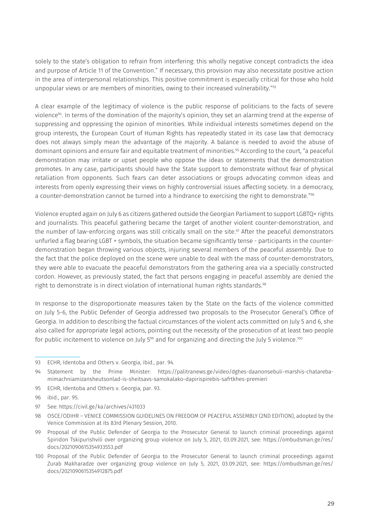solely to the state's obligation to refrain from interfering: this wholly negative concept contradicts the idea and purpose of Article 11 of the Convention." If necessary, this provision may also necessitate positive action in the area of interpersonal relationships. This positive commitment is especially critical for those who hold unpopular views or are members of minorities, owing to their increased vulnerability."93

A clear example of the legitimacy of violence is the public response of politicians to the facts of severe violence94. In terms of the domination of the majority's opinion, they set an alarming trend at the expense of suppressing and oppressing the opinion of minorities. While individual interests sometimes depend on the group interests, the European Court of Human Rights has repeatedly stated in its case law that democracy does not always simply mean the advantage of the majority. A balance is needed to avoid the abuse of dominant opinions and ensure fair and equitable treatment of minorities.<sup>95</sup> According to the court, "a peaceful demonstration may irritate or upset people who oppose the ideas or statements that the demonstration promotes. In any case, participants should have the State support to demonstrate without fear of physical retaliation from opponents. Such fears can deter associations or groups advocating common ideas and interests from openly expressing their views on highly controversial issues affecting society. In a democracy, a counter-demonstration cannot be turned into a hindrance to exercising the right to demonstrate."96

Violence erupted again on July 6 as citizens gathered outside the Georgian Parliament to support LGBTQ+ rights and journalists. This peaceful gathering became the target of another violent counter-demonstration, and the number of law-enforcing organs was still critically small on the site.<sup>97</sup> After the peaceful demonstrators unfurled a flag bearing LGBT + symbols, the situation became significantly tense - participants in the counterdemonstration began throwing various objects, injuring several members of the peaceful assembly. Due to the fact that the police deployed on the scene were unable to deal with the mass of counter-demonstrators, they were able to evacuate the peaceful demonstrators from the gathering area via a specially constructed cordon. However, as previously stated, the fact that persons engaging in peaceful assembly are denied the right to demonstrate is in direct violation of international human rights standards.<sup>98</sup>

In response to the disproportionate measures taken by the State on the facts of the violence committed on July 5-6, the Public Defender of Georgia addressed two proposals to the Prosecutor General's Office of Georgia. In addition to describing the factual circumstances of the violent acts committed on July 5 and 6, she also called for appropriate legal actions, pointing out the necessity of the prosecution of at least two people for public incitement to violence on July 5<sup>99</sup> and for organizing and directing the July 5 violence.<sup>100</sup>

<sup>93</sup> ECHR, Identoba and Others v. Georgia, ibid., par. 94.

<sup>94</sup> Statement by the Prime Minister: [https://palitranews.ge/video/dghes-daanonsebuli-marshis-chatareba](https://palitranews.ge/video/dghes-daanonsebuli-marshis-chatareba-mimachniamizansheutsonlad-is-sheitsavs-samokalako-dapirispirebis-safrtkhes-premieri)[mimachniamizansheutsonlad-is-sheitsavs-samokalako-dapirispirebis-safrtkhes-premieri](https://palitranews.ge/video/dghes-daanonsebuli-marshis-chatareba-mimachniamizansheutsonlad-is-sheitsavs-samokalako-dapirispirebis-safrtkhes-premieri)

<sup>95</sup> ECHR, Identoba and Others v. Georgia, par. 93.

<sup>96</sup> ibid., par. 95.

<sup>97</sup> See:<https://civil.ge/ka/archives/431033>

<sup>98</sup> OSCE/ODIHR – VENICE COMMISSION GUIDELINES ON FREEDOM OF PEACEFUL ASSEMBLY (2ND EDITION), adopted by the Venice Commission at its 83rd Plenary Session, 2010.

<sup>99</sup> Proposal of the Public Defender of Georgia to the Prosecutor General to launch criminal proceedings against Spiridon Tskipurishvili over organizing group violence on July 5, 2021, 03.09.2021, see: [https://ombudsman.ge/res/](https://ombudsman.ge/res/docs/2021090615354933553.pdf) [docs/2021090615354933553.pdf](https://ombudsman.ge/res/docs/2021090615354933553.pdf)

<sup>100</sup> Proposal of the Public Defender of Georgia to the Prosecutor General to launch criminal proceedings against Zurab Makharadze over organizing group violence on July 5, 2021, 03.09.2021, see: [https://ombudsman.ge/res/](https://ombudsman.ge/res/docs/2021090615354912875.pdf) [docs/2021090615354912875.pdf](https://ombudsman.ge/res/docs/2021090615354912875.pdf)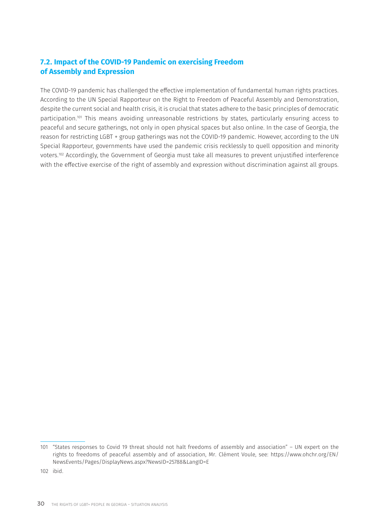### **7.2. Impact of the COVID-19 Pandemic on exercising Freedom of Assembly and Expression**

The COVID-19 pandemic has challenged the effective implementation of fundamental human rights practices. According to the UN Special Rapporteur on the Right to Freedom of Peaceful Assembly and Demonstration, despite the current social and health crisis, it is crucial that states adhere to the basic principles of democratic participation.101 This means avoiding unreasonable restrictions by states, particularly ensuring access to peaceful and secure gatherings, not only in open physical spaces but also online. In the case of Georgia, the reason for restricting LGBT + group gatherings was not the COVID-19 pandemic. However, according to the UN Special Rapporteur, governments have used the pandemic crisis recklessly to quell opposition and minority voters.102 Accordingly, the Government of Georgia must take all measures to prevent unjustified interference with the effective exercise of the right of assembly and expression without discrimination against all groups.

102 ibid.

<sup>101</sup> "States responses to Covid 19 threat should not halt freedoms of assembly and association" – UN expert on the rights to freedoms of peaceful assembly and of association, Mr. Clément Voule, see: [https://www.ohchr.org/EN/](https://www.ohchr.org/EN/NewsEvents/Pages/DisplayNews.aspx?NewsID=25788&LangID=E) [NewsEvents/Pages/DisplayNews.aspx?NewsID=25788&LangID=E](https://www.ohchr.org/EN/NewsEvents/Pages/DisplayNews.aspx?NewsID=25788&LangID=E)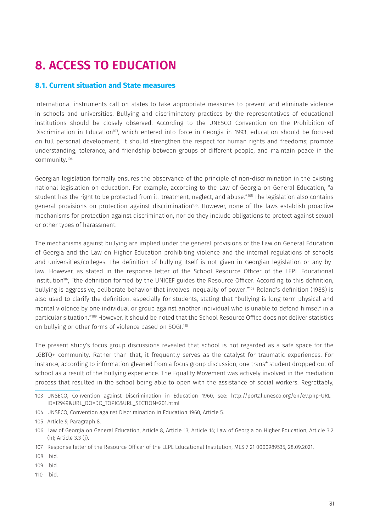# **8. ACCESS TO EDUCATION**

#### **8.1. Current situation and State measures**

International instruments call on states to take appropriate measures to prevent and eliminate violence in schools and universities. Bullying and discriminatory practices by the representatives of educational institutions should be closely observed. According to the UNESCO Convention on the Prohibition of Discrimination in Education<sup>103</sup>, which entered into force in Georgia in 1993, education should be focused on full personal development. It should strengthen the respect for human rights and freedoms; promote understanding, tolerance, and friendship between groups of different people; and maintain peace in the community.104

Georgian legislation formally ensures the observance of the principle of non-discrimination in the existing national legislation on education. For example, according to the Law of Georgia on General Education, "a student has the right to be protected from ill-treatment, neglect, and abuse."<sup>105</sup> The legislation also contains general provisions on protection against discrimination<sup>106</sup>. However, none of the laws establish proactive mechanisms for protection against discrimination, nor do they include obligations to protect against sexual or other types of harassment.

The mechanisms against bullying are implied under the general provisions of the Law on General Education of Georgia and the Law on Higher Education prohibiting violence and the internal regulations of schools and universities/colleges. The definition of bullying itself is not given in Georgian legislation or any bylaw. However, as stated in the response letter of the School Resource Officer of the LEPL Educational Institution<sup>107</sup>, "the definition formed by the UNICEF guides the Resource Officer. According to this definition, bullying is aggressive, deliberate behavior that involves inequality of power."108 Roland's definition (1988) is also used to clarify the definition, especially for students, stating that "bullying is long-term physical and mental violence by one individual or group against another individual who is unable to defend himself in a particular situation."109 However, it should be noted that the School Resource Office does not deliver statistics on bullying or other forms of violence based on SOGI.<sup>110</sup>

The present study's focus group discussions revealed that school is not regarded as a safe space for the LGBTQ+ community. Rather than that, it frequently serves as the catalyst for traumatic experiences. For instance, according to information gleaned from a focus group discussion, one trans\* student dropped out of school as a result of the bullying experience. The Equality Movement was actively involved in the mediation process that resulted in the school being able to open with the assistance of social workers. Regrettably,

104 UNSECO, Convention against Discrimination in Education 1960, Article 5.

110 ibid.

<sup>103</sup> UNSECO, Convention against Discrimination in Education 1960, see: [http://portal.unesco.org/en/ev.php-URL\\_](http://portal.unesco.org/en/ev.php-URL_ID=12949&URL_DO=DO_TOPIC&URL_SECTION=201.html) [ID=12949&URL\\_DO=DO\\_TOPIC&URL\\_SECTION=201.html](http://portal.unesco.org/en/ev.php-URL_ID=12949&URL_DO=DO_TOPIC&URL_SECTION=201.html)

<sup>105</sup> Article 9, Paragraph 8.

<sup>106</sup> Law of Georgia on General Education, Article 8, Article 13, Article 14; Law of Georgia on Higher Education, Article 3.2 (h); Article 3.3 (j).

<sup>107</sup> Response letter of the Resource Officer of the LEPL Educational Institution, MES 7 21 0000989535, 28.09.2021.

<sup>108</sup> ibid.

<sup>109</sup> ibid.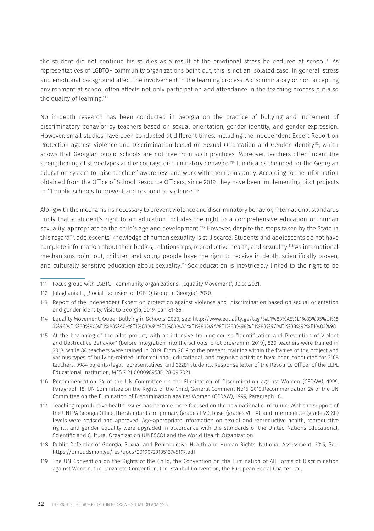the student did not continue his studies as a result of the emotional stress he endured at school.<sup>111</sup> As representatives of LGBTQ+ community organizations point out, this is not an isolated case. In general, stress and emotional background affect the involvement in the learning process. A discriminatory or non-accepting environment at school often affects not only participation and attendance in the teaching process but also the quality of learning.<sup>112</sup>

No in-depth research has been conducted in Georgia on the practice of bullying and incitement of discriminatory behavior by teachers based on sexual orientation, gender identity, and gender expression. However, small studies have been conducted at different times, including the Independent Expert Report on Protection against Violence and Discrimination based on Sexual Orientation and Gender Identity<sup>113</sup>, which shows that Georgian public schools are not free from such practices. Moreover, teachers often incent the strengthening of stereotypes and encourage discriminatory behavior.<sup>114</sup> It indicates the need for the Georgian education system to raise teachers' awareness and work with them constantly. According to the information obtained from the Office of School Resource Officers, since 2019, they have been implementing pilot projects in 11 public schools to prevent and respond to violence.<sup>115</sup>

Along with the mechanisms necessary to prevent violence and discriminatory behavior, international standards imply that a student's right to an education includes the right to a comprehensive education on human sexuality, appropriate to the child's age and development.116 However, despite the steps taken by the State in this regard<sup>117</sup>, adolescents' knowledge of human sexuality is still scarce. Students and adolescents do not have complete information about their bodies, relationships, reproductive health, and sexuality.118 As international mechanisms point out, children and young people have the right to receive in-depth, scientifically proven, and culturally sensitive education about sexuality.119 Sex education is inextricably linked to the right to be

<sup>111</sup> Focus group with LGBTQ+ community organizations, "Equality Movement", 30.09.2021.

<sup>112</sup> Jalaghania L., "Social Exclusion of LGBTQ Group in Georgia", 2020.

<sup>113</sup> Report of the Independent Expert on protection against violence and discrimination based on sexual orientation and gender identity, Visit to Georgia, 2019, par. 81-85.

<sup>114</sup> Equality Movement, Queer Bullying in Schools, 2020, see: [http://www.equality.ge/tag/%E1%83%A5%E1%83%95%E1%8](http://www.equality.ge/tag/%E1%83%A5%E1%83%95%E1%83%98%E1%83%90%E1%83%A0-%E1%83%91%E1%83%A3%E1%83%9A%E1%83%98%E1%83%9C%E1%83%92%E1%83%98) [3%98%E1%83%90%E1%83%A0-%E1%83%91%E1%83%A3%E1%83%9A%E1%83%98%E1%83%9C%E1%83%92%E1%83%98](http://www.equality.ge/tag/%E1%83%A5%E1%83%95%E1%83%98%E1%83%90%E1%83%A0-%E1%83%91%E1%83%A3%E1%83%9A%E1%83%98%E1%83%9C%E1%83%92%E1%83%98) 

<sup>115</sup> At the beginning of the pilot project, with an intensive training course "Identification and Prevention of Violent and Destructive Behavior" (before integration into the schools' pilot program in 2019), 830 teachers were trained in 2018, while 84 teachers were trained in 2019. From 2019 to the present, training within the frames of the project and various types of bullying-related, informational, educational, and cognitive activities have been conducted for 2168 teachers, 9984 parents/legal representatives, and 32281 students, Response letter of the Resource Officer of the LEPL Educational Institution, MES 7 21 0000989535, 28.09.2021.

<sup>116</sup> Recommendation 24 of the UN Committee on the Elimination of Discrimination against Women (CEDAW), 1999, Paragraph 18. UN Committee on the Rights of the Child, General Comment No15, 2013.Recommendation 24 of the UN Committee on the Elimination of Discrimination against Women (CEDAW), 1999, Paragraph 18.

<sup>117</sup> Teaching reproductive health issues has become more focused on the new national curriculum. With the support of the UNFPA Georgia Office, the standards for primary (grades I-VI), basic (grades VII-IX), and intermediate (grades X-XII) levels were revised and approved. Age-appropriate information on sexual and reproductive health, reproductive rights, and gender equality were upgraded in accordance with the standards of the United Nations Educational, Scientific and Cultural Organization (UNESCO) and the World Health Organization.

<sup>118</sup> Public Defender of Georgia, Sexual and Reproductive Health and Human Rights: National Assessment, 2019, See: <https://ombudsman.ge/res/docs/2019072913513745197.pdf>

<sup>119</sup> The UN Convention on the Rights of the Child, the Convention on the Elimination of All Forms of Discrimination against Women, the Lanzarote Convention, the Istanbul Convention, the European Social Charter, etc.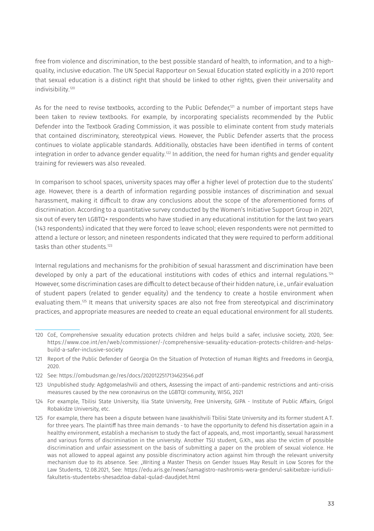free from violence and discrimination, to the best possible standard of health, to information, and to a highquality, inclusive education. The UN Special Rapporteur on Sexual Education stated explicitly in a 2010 report that sexual education is a distinct right that should be linked to other rights, given their universality and indivisibility.120

As for the need to revise textbooks, according to the Public Defender<sup>121</sup> a number of important steps have been taken to review textbooks. For example, by incorporating specialists recommended by the Public Defender into the Textbook Grading Commission, it was possible to eliminate content from study materials that contained discriminatory, stereotypical views. However, the Public Defender asserts that the process continues to violate applicable standards. Additionally, obstacles have been identified in terms of content integration in order to advance gender equality.<sup>122</sup> In addition, the need for human rights and gender equality training for reviewers was also revealed.

In comparison to school spaces, university spaces may offer a higher level of protection due to the students' age. However, there is a dearth of information regarding possible instances of discrimination and sexual harassment, making it difficult to draw any conclusions about the scope of the aforementioned forms of discrimination. According to a quantitative survey conducted by the Women's Initiative Support Group in 2021, six out of every ten LGBTQ+ respondents who have studied in any educational institution for the last two years (143 respondents) indicated that they were forced to leave school; eleven respondents were not permitted to attend a lecture or lesson; and nineteen respondents indicated that they were required to perform additional tasks than other students.<sup>123</sup>

Internal regulations and mechanisms for the prohibition of sexual harassment and discrimination have been developed by only a part of the educational institutions with codes of ethics and internal regulations.<sup>124</sup> However, some discrimination cases are difficult to detect because of their hidden nature, i.e., unfair evaluation of student papers (related to gender equality) and the tendency to create a hostile environment when evaluating them.<sup>125</sup> It means that university spaces are also not free from stereotypical and discriminatory practices, and appropriate measures are needed to create an equal educational environment for all students.

<sup>120</sup> CoE, Comprehensive sexuality education protects children and helps build a safer, inclusive society, 2020, See: [https://www.coe.int/en/web/commissioner/-/comprehensive-sexuality-education-protects-children-and-helps](https://www.coe.int/en/web/commissioner/-/comprehensive-sexuality-education-protects-children-and-helps-build-a-safer-inclusive-society)[build-a-safer-inclusive-society](https://www.coe.int/en/web/commissioner/-/comprehensive-sexuality-education-protects-children-and-helps-build-a-safer-inclusive-society) 

<sup>121</sup> Report of the Public Defender of Georgia On the Situation of Protection of Human Rights and Freedoms in Georgia, 2020.

<sup>122</sup> See:<https://ombudsman.ge/res/docs/2020122517134623546.pdf>

<sup>123</sup> Unpublished study: Agdgomelashvili and others, Assessing the impact of anti-pandemic restrictions and anti-crisis measures caused by the new coronavirus on the LGBTQI community, WISG, 2021

<sup>124</sup> For example, Tbilisi State University, Ilia State University, Free University, GIPA - Institute of Public Affairs, Grigol Robakidze University, etc.

<sup>125</sup> For example, there has been a dispute between Ivane Javakhishvili Tbilisi State University and its former student A.T. for three years. The plaintiff has three main demands - to have the opportunity to defend his dissertation again in a healthy environment, establish a mechanism to study the fact of appeals, and, most importantly, sexual harassment and various forms of discrimination in the university. Another TSU student, G.Kh., was also the victim of possible discrimination and unfair assessment on the basis of submitting a paper on the problem of sexual violence. He was not allowed to appeal against any possible discriminatory action against him through the relevant university mechanism due to its absence. See: "Writing a Master Thesis on Gender Issues May Result in Low Scores for the Law Students, 12.08.2021, See: [https://edu.aris.ge/news/samagistro-nashromis-wera-genderul-sakitxebze-iuridiuli](https://edu.aris.ge/news/samagistro-nashromis-wera-genderul-sakitxebze-iuridiuli-fakultetis-studentebs-shesadzloa-dabal-qulad-daudjdet.html)[fakultetis-studentebs-shesadzloa-dabal-qulad-daudjdet.html](https://edu.aris.ge/news/samagistro-nashromis-wera-genderul-sakitxebze-iuridiuli-fakultetis-studentebs-shesadzloa-dabal-qulad-daudjdet.html)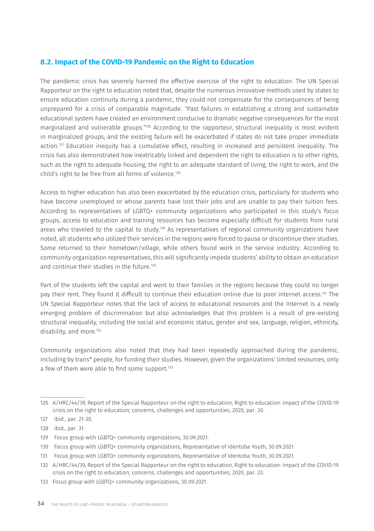### **8.2. Impact of the COVID-19 Pandemic on the Right to Education**

The pandemic crisis has severely harmed the effective exercise of the right to education. The UN Special Rapporteur on the right to education noted that, despite the numerous innovative methods used by states to ensure education continuity during a pandemic, they could not compensate for the consequences of being unprepared for a crisis of comparable magnitude. "Past failures in establishing a strong and sustainable educational system have created an environment conducive to dramatic negative consequences for the most marginalized and vulnerable groups."126 According to the rapporteur, structural inequality is most evident in marginalized groups, and the existing failure will be exacerbated if states do not take proper immediate action.127 Education inequity has a cumulative effect, resulting in increased and persistent inequality. The crisis has also demonstrated how inextricably linked and dependent the right to education is to other rights, such as the right to adequate housing, the right to an adequate standard of living, the right to work, and the child's right to be free from all forms of violence.<sup>128</sup>

Access to higher education has also been exacerbated by the education crisis, particularly for students who have become unemployed or whose parents have lost their jobs and are unable to pay their tuition fees. According to representatives of LGBTQ+ community organizations who participated in this study's focus groups, access to education and training resources has become especially difficult for students from rural areas who traveled to the capital to study.<sup>129</sup> As representatives of regional community organizations have noted, all students who utilized their services in the regions were forced to pause or discontinue their studies. Some returned to their hometown/village, while others found work in the service industry. According to community organization representatives, this will significantly impede students' ability to obtain an education and continue their studies in the future.<sup>130</sup>

Part of the students left the capital and went to their families in the regions because they could no longer pay their rent. They found it difficult to continue their education online due to poor internet access.131 The UN Special Rapporteur notes that the lack of access to educational resources and the Internet is a newly emerging problem of discrimination but also acknowledges that this problem is a result of pre-existing structural inequality, including the social and economic status, gender and sex, language, religion, ethnicity, disability, and more.<sup>132</sup>

Community organizations also noted that they had been repeatedly approached during the pandemic, including by trans\* people, for funding their studies. However, given the organizations' limited resources, only a few of them were able to find some support.<sup>133</sup>

<sup>126</sup> A/HRC/44/39, Report of the Special Rapporteur on the right to education, Right to education: impact of the COVID-19 crisis on the right to education; concerns, challenges and opportunities, 2020, par. 20.

<sup>127</sup> ibid., par. 21-30.

<sup>128</sup> ibid., par. 31.

<sup>129</sup> Focus group with LGBTQ+ community organizations, 30.09.2021.

<sup>130</sup> Focus group with LGBTQ+ community organizations, Representative of Identoba Youth, 30.09.2021.

<sup>131</sup> Focus group with LGBTQ+ community organizations, Representative of Identoba Youth, 30.09.2021.

<sup>132</sup> A/HRC/44/39, Report of the Special Rapporteur on the right to education, Right to education: impact of the COVID-19 crisis on the right to education; concerns, challenges and opportunities, 2020, par. 23.

<sup>133</sup> Focus group with LGBTQ+ community organizations, 30.09.2021.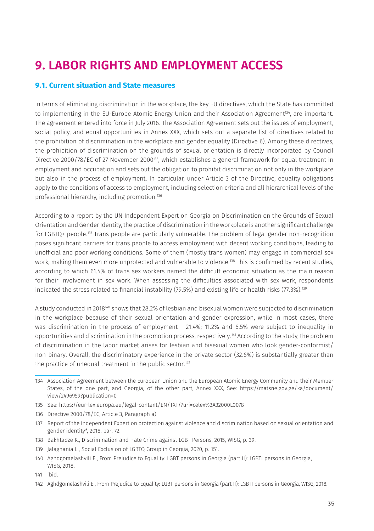# **9. LABOR RIGHTS AND EMPLOYMENT ACCESS**

### **9.1. Current situation and State measures**

In terms of eliminating discrimination in the workplace, the key EU directives, which the State has committed to implementing in the EU-Europe Atomic Energy Union and their Association Agreement<sup>134</sup>, are important. The agreement entered into force in July 2016. The Association Agreement sets out the issues of employment, social policy, and equal opportunities in Annex XXX, which sets out a separate list of directives related to the prohibition of discrimination in the workplace and gender equality (Directive 6). Among these directives, the prohibition of discrimination on the grounds of sexual orientation is directly incorporated by Council Directive 2000/78/EC of 27 November 2000<sup>135</sup>, which establishes a general framework for equal treatment in employment and occupation and sets out the obligation to prohibit discrimination not only in the workplace but also in the process of employment. In particular, under Article 3 of the Directive, equality obligations apply to the conditions of access to employment, including selection criteria and all hierarchical levels of the professional hierarchy, including promotion.136

According to a report by the UN Independent Expert on Georgia on Discrimination on the Grounds of Sexual Orientation and Gender Identity, the practice of discrimination in the workplace is another significant challenge for LGBTQ+ people.137 Trans people are particularly vulnerable. The problem of legal gender non-recognition poses significant barriers for trans people to access employment with decent working conditions, leading to unofficial and poor working conditions. Some of them (mostly trans women) may engage in commercial sex work, making them even more unprotected and vulnerable to violence.<sup>138</sup> This is confirmed by recent studies, according to which 61.4% of trans sex workers named the difficult economic situation as the main reason for their involvement in sex work. When assessing the difficulties associated with sex work, respondents indicated the stress related to financial instability (79.5%) and existing life or health risks (77.3%).<sup>139</sup>

A study conducted in 2018140 shows that 28.2% of lesbian and bisexual women were subjected to discrimination in the workplace because of their sexual orientation and gender expression, while in most cases, there was discrimination in the process of employment - 21.4%; 11.2% and 6.5% were subject to inequality in opportunities and discrimination in the promotion process, respectively.141 According to the study, the problem of discrimination in the labor market arises for lesbian and bisexual women who look gender-conformist/ non-binary. Overall, the discriminatory experience in the private sector (32.6%) is substantially greater than the practice of unequal treatment in the public sector.<sup>142</sup>

- 135 See:<https://eur-lex.europa.eu/legal-content/EN/TXT/?uri=celex%3A32000L0078>
- 136 Directive 2000/78/EC, Article 3, Paragraph a)
- 137 Report of the Independent Expert on protection against violence and discrimination based on sexual orientation and gender identity\*, 2018, par. 72.
- 138 Bakhtadze K., Discrimination and Hate Crime against LGBT Persons, 2015, WISG, p. 39.
- 139 Jalaghania L., Social Exclusion of LGBTQ Group in Georgia, 2020, p. 151.
- 140 Aghdgomelashvili E., From Prejudice to Equality: LGBT persons in Georgia (part II): LGBTI persons in Georgia, WISG, 2018.

142 Aghdgomelashvili E., From Prejudice to Equality: LGBT persons in Georgia (part II): LGBTI persons in Georgia, WISG, 2018.

<sup>134</sup> Association Agreement between the European Union and the European Atomic Energy Community and their Member States, of the one part, and Georgia, of the other part, Annex XXX, See: [https://matsne.gov.ge/ka/document/](https://matsne.gov.ge/ka/document/view/2496959?publication=0) [view/2496959?publication=0](https://matsne.gov.ge/ka/document/view/2496959?publication=0) 

<sup>141</sup> ibid.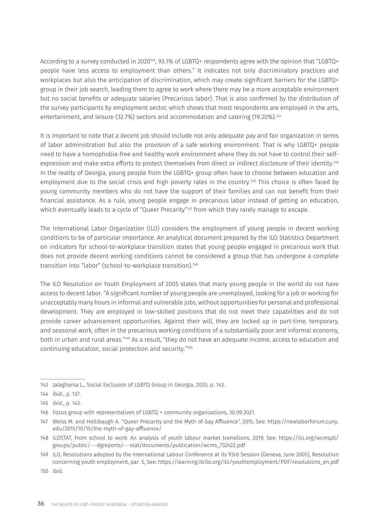According to a survey conducted in 2020<sup>143</sup>, 93.1% of LGBTQ+ respondents agree with the opinion that "LGBTQ+ people have less access to employment than others." It indicates not only discriminatory practices and workplaces but also the anticipation of discrimination, which may create significant barriers for the LGBTQ+ group in their job search, leading them to agree to work where there may be a more acceptable environment but no social benefits or adequate salaries (Precarious labor). That is also confirmed by the distribution of the survey participants by employment sector, which shows that most respondents are employed in the arts, entertainment, and leisure (32.7%) sectors and accommodation and catering (19.20%).144

It is important to note that a decent job should include not only adequate pay and fair organization in terms of labor administration but also the provision of a safe working environment. That is why LGBTQ+ people need to have a homophobia-free and healthy work environment where they do not have to control their selfexpression and make extra efforts to protect themselves from direct or indirect disclosure of their identity.<sup>145</sup> In the reality of Georgia, young people from the LGBTQ+ group often have to choose between education and employment due to the social crisis and high poverty rates in the country.<sup>146</sup> This choice is often faced by young community members who do not have the support of their families and can not benefit from their financial assistance. As a rule, young people engage in precarious labor instead of getting an education, which eventually leads to a cycle of "Queer Precarity"<sup>147</sup> from which they rarely manage to escape.

The International Labor Organization (ILO) considers the employment of young people in decent working conditions to be of particular importance. An analytical document prepared by the ILO Statistics Department on indicators for school-to-workplace transition states that young people engaged in precarious work that does not provide decent working conditions cannot be considered a group that has undergone a complete transition into "labor" (school-to-workplace transition).148

The ILO Resolution on Youth Employment of 2005 states that many young people in the world do not have access to decent labor. "A significant number of young people are unemployed, looking for a job or working for unacceptably many hours in informal and vulnerable jobs, without opportunities for personal and professional development. They are employed in low-skilled positions that do not meet their capabilities and do not provide career advancement opportunities. Against their will, they are locked up in part-time, temporary, and seasonal work, often in the precarious working conditions of a substantially poor and informal economy, both in urban and rural areas."149 As a result, "they do not have an adequate income, access to education and continuing education, social protection and security."150

<sup>143</sup> Jalaghania L., Social Exclusion of LGBTQ Group in Georgia, 2020, p. 143.

<sup>144</sup> ibid., p. 137.

<sup>145</sup> ibid., p. 143.

<sup>146</sup> Focus group with representatives of LGBTQ + community organizations, 30.09.2021.

<sup>147</sup> Weiss M. and Hollibaugh A. "Queer Precarity and the Myth of Gay Affluence", 2015, See: [https://newlaborforum.cuny.](https://newlaborforum.cuny.edu/2015/10/15/the-myth-of-gay-affluence/) [edu/2015/10/15/the-myth-of-gay-affluence/](https://newlaborforum.cuny.edu/2015/10/15/the-myth-of-gay-affluence/)

<sup>148</sup> ILOSTAT, From school to work: An analysis of youth labour market transitions, 2019, See: [https://ilo.org/wcmsp5/](https://ilo.org/wcmsp5/groups/public/---dgreports/---stat/documents/publication/wcms_732422.pdf) [groups/public/---dgreports/---stat/documents/publication/wcms\\_732422.pdf](https://ilo.org/wcmsp5/groups/public/---dgreports/---stat/documents/publication/wcms_732422.pdf) 

<sup>149</sup> ILO, Resolutions adopted by the International Labour Conference at its 93rd Session (Geneva, June 2005), Resolution concerning youth employment, par. 5, See: [https://learning.itcilo.org/ilo/youthemployment/PDF/resolutions\\_en.pdf](https://learning.itcilo.org/ilo/youthemployment/PDF/resolutions_en.pdf)

<sup>150</sup> ibid.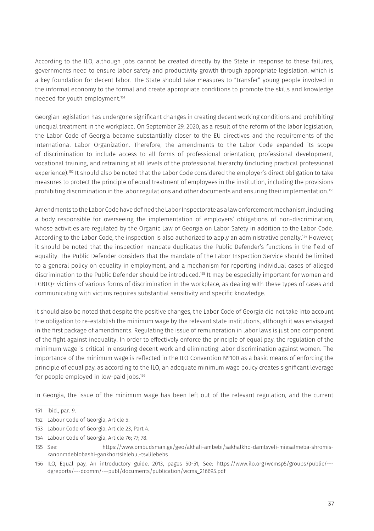According to the ILO, although jobs cannot be created directly by the State in response to these failures, governments need to ensure labor safety and productivity growth through appropriate legislation, which is a key foundation for decent labor. The State should take measures to "transfer" young people involved in the informal economy to the formal and create appropriate conditions to promote the skills and knowledge needed for youth employment.151

Georgian legislation has undergone significant changes in creating decent working conditions and prohibiting unequal treatment in the workplace. On September 29, 2020, as a result of the reform of the labor legislation, the Labor Code of Georgia became substantially closer to the EU directives and the requirements of the International Labor Organization. Therefore, the amendments to the Labor Code expanded its scope of discrimination to include access to all forms of professional orientation, professional development, vocational training, and retraining at all levels of the professional hierarchy (including practical professional experience).152 It should also be noted that the Labor Code considered the employer's direct obligation to take measures to protect the principle of equal treatment of employees in the institution, including the provisions prohibiting discrimination in the labor regulations and other documents and ensuring their implementation.153

Amendments to the Labor Code have defined the Labor Inspectorate as a law enforcement mechanism, including a body responsible for overseeing the implementation of employers' obligations of non-discrimination, whose activities are regulated by the Organic Law of Georgia on Labor Safety in addition to the Labor Code. According to the Labor Code, the inspection is also authorized to apply an administrative penalty.154 However, it should be noted that the inspection mandate duplicates the Public Defender's functions in the field of equality. The Public Defender considers that the mandate of the Labor Inspection Service should be limited to a general policy on equality in employment, and a mechanism for reporting individual cases of alleged discrimination to the Public Defender should be introduced.155 It may be especially important for women and LGBTQ+ victims of various forms of discrimination in the workplace, as dealing with these types of cases and communicating with victims requires substantial sensitivity and specific knowledge.

It should also be noted that despite the positive changes, the Labor Code of Georgia did not take into account the obligation to re-establish the minimum wage by the relevant state institutions, although it was envisaged in the first package of amendments. Regulating the issue of remuneration in labor laws is just one component of the fight against inequality. In order to effectively enforce the principle of equal pay, the regulation of the minimum wage is critical in ensuring decent work and eliminating labor discrimination against women. The importance of the minimum wage is reflected in the ILO Convention №100 as a basic means of enforcing the principle of equal pay, as according to the ILO, an adequate minimum wage policy creates significant leverage for people employed in low-paid jobs.<sup>156</sup>

In Georgia, the issue of the minimum wage has been left out of the relevant regulation, and the current

- 152 Labour Code of Georgia, Article 5.
- 153 Labour Code of Georgia, Article 23, Part 4.
- 154 Labour Code of Georgia, Article 76; 77; 78.

<sup>151</sup> ibid., par. 9.

<sup>155</sup> See: [https://www.ombudsman.ge/geo/akhali-ambebi/sakhalkho-damtsveli-miesalmeba-shromis](https://www.ombudsman.ge/geo/akhali-ambebi/sakhalkho-damtsveli-miesalmeba-shromis-kanonmdeblobashi-gankhortsielebul-tsvlilebebs)[kanonmdeblobashi-gankhortsielebul-tsvlilebebs](https://www.ombudsman.ge/geo/akhali-ambebi/sakhalkho-damtsveli-miesalmeba-shromis-kanonmdeblobashi-gankhortsielebul-tsvlilebebs)

<sup>156</sup> ILO, Equal pay, An introductory guide, 2013, pages 50-51, See: [https://www.ilo.org/wcmsp5/groups/public/--](https://www.ilo.org/wcmsp5/groups/public/---dgreports/---dcomm/---publ/documents/publication/wcms_216695.pdf) [dgreports/---dcomm/---publ/documents/publication/wcms\\_216695.pdf](https://www.ilo.org/wcmsp5/groups/public/---dgreports/---dcomm/---publ/documents/publication/wcms_216695.pdf)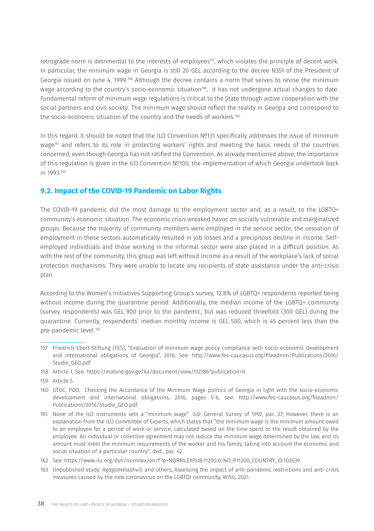retrograde norm is detrimental to the interests of employees<sup>157</sup>, which violates the principle of decent work. In particular, the minimum wage in Georgia is still 20 GEL according to the decree N351 of the President of Georgia issued on June 4, 1999.158 Although the decree contains a norm that serves to revise the minimum wage according to the country's socio-economic situation<sup>159</sup>, it has not undergone actual changes to date. Fundamental reform of minimum wage regulations is critical to the State through active cooperation with the social partners and civil society. The minimum wage should reflect the reality in Georgia and correspond to the socio-economic situation of the country and the needs of workers.<sup>160</sup>

In this regard, it should be noted that the ILO Convention №131 specifically addresses the issue of minimum wage<sup>161</sup> and refers to its role in protecting workers' rights and meeting the basic needs of the countries concerned, even though Georgia has not ratified the Convention. As already mentioned above, the importance of this regulation is given in the ILO Convention №100, the implementation of which Georgia undertook back in 1993.162

### **9.2. Impact of the COVID-19 Pandemic on Labor Rights**

The COVID-19 pandemic did the most damage to the employment sector and, as a result, to the LGBTQ+ community's economic situation. The economic crisis wreaked havoc on socially vulnerable and marginalized groups. Because the majority of community members were employed in the service sector, the cessation of employment in these sectors automatically resulted in job losses and a precipitous decline in income. Selfemployed individuals and those working in the informal sector were also placed in a difficult position. As with the rest of the community, this group was left without income as a result of the workplace's lack of social protection mechanisms. They were unable to locate any recipients of state assistance under the anti-crisis plan.

According to the Women's Initiatives Supporting Group's survey, 12.8% of LGBTQ+ respondents reported being without income during the quarantine period. Additionally, the median income of the LGBTQ+ community (survey respondents) was GEL 900 prior to the pandemic, but was reduced threefold (300 GEL) during the quarantine. Currently, respondents' median monthly income is GEL 500, which is 45 percent less than the pre-pandemic level.163

- 158 Article 1, See:<https://matsne.gov.ge/ka/document/view/112786?publication=0>
- 159 Article 5.

163 Unpublished study: Agdgomelashvili and others, Assessing the impact of anti-pandemic restrictions and anti-crisis measures caused by the new coronavirus on the LGBTQI community, WISG, 2021.

<sup>157</sup> Friedrich-Ebert-Stiftung (FES), "Evaluation of minimum wage policy compliance with socio-economic development and international obligations of Georgia", 2016, See: [http://www.fes-caucasus.org/fileadmin/Publications/2016/](http://www.fes-caucasus.org/fileadmin/Publications/2016/Studie_GEO.pdf) [Studie\\_GEO.pdf](http://www.fes-caucasus.org/fileadmin/Publications/2016/Studie_GEO.pdf)

<sup>160</sup> GTUC, PDO, Checking the Accordance of the Minimum Wage politics of Georgia in light with the socio-economic development and international obligations, 2016, pages 5-6, see: [http://www.fes-caucasus.org/fileadmin/](http://www.fes-caucasus.org/fileadmin/Publications/2016/Studie_GEO.pdf) [Publications/2016/Studie\\_GEO.pdf](http://www.fes-caucasus.org/fileadmin/Publications/2016/Studie_GEO.pdf) 

<sup>161</sup> None of the ILO instruments sets a "minimum wage". ILO: General Survey of 1992, par. 27; However, there is an explanation from the ILO Committee of Experts, which states that "the minimum wage is the minimum amount owed to an employee for a period of work or service, calculated based on the time spent or the result obtained by the employee. An individual or collective agreement may not reduce the minimum wage determined by the law, and its amount must meet the minimum requirements of the worker and his family, taking into account the economic and social situation of a particular country"; ibid., par. 42.

<sup>162</sup> See: [https://www.ilo.org/dyn/normlex/en/f?p=NORMLEXPUB:11200:0::NO::P11200\\_COUNTRY\\_ID:102639](https://www.ilo.org/dyn/normlex/en/f?p=NORMLEXPUB:11200:0::NO::P11200_COUNTRY_ID:102639)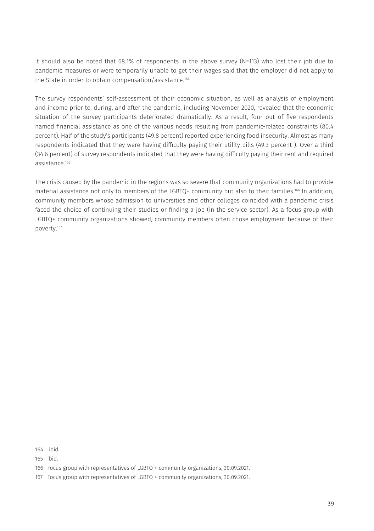It should also be noted that 68.1% of respondents in the above survey (N=113) who lost their job due to pandemic measures or were temporarily unable to get their wages said that the employer did not apply to the State in order to obtain compensation/assistance.<sup>164</sup>

The survey respondents' self-assessment of their economic situation, as well as analysis of employment and income prior to, during, and after the pandemic, including November 2020, revealed that the economic situation of the survey participants deteriorated dramatically. As a result, four out of five respondents named financial assistance as one of the various needs resulting from pandemic-related constraints (80.4 percent). Half of the study's participants (49.8 percent) reported experiencing food insecurity. Almost as many respondents indicated that they were having difficulty paying their utility bills (49.3 percent ). Over a third (34.6 percent) of survey respondents indicated that they were having difficulty paying their rent and required assistance.165

The crisis caused by the pandemic in the regions was so severe that community organizations had to provide material assistance not only to members of the LGBTQ+ community but also to their families.166 In addition, community members whose admission to universities and other colleges coincided with a pandemic crisis faced the choice of continuing their studies or finding a job (in the service sector). As a focus group with LGBTQ+ community organizations showed, community members often chose employment because of their poverty.167

164 ibid.

<sup>165</sup> ibid.

<sup>166</sup> Focus group with representatives of LGBTQ + community organizations, 30.09.2021.

<sup>167</sup> Focus group with representatives of LGBTQ + community organizations, 30.09.2021.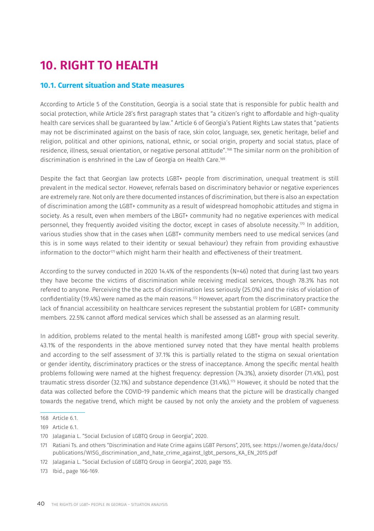# **10. RIGHT TO HEALTH**

#### **10.1. Current situation and State measures**

According to Article 5 of the Constitution, Georgia is a social state that is responsible for public health and social protection, while Article 28's first paragraph states that "a citizen's right to affordable and high-quality health care services shall be guaranteed by law." Article 6 of Georgia's Patient Rights Law states that "patients may not be discriminated against on the basis of race, skin color, language, sex, genetic heritage, belief and religion, political and other opinions, national, ethnic, or social origin, property and social status, place of residence, illness, sexual orientation, or negative personal attitude".168 The similar norm on the prohibition of discrimination is enshrined in the Law of Georgia on Health Care.169

Despite the fact that Georgian law protects LGBT+ people from discrimination, unequal treatment is still prevalent in the medical sector. However, referrals based on discriminatory behavior or negative experiences are extremely rare. Not only are there documented instances of discrimination, but there is also an expectation of discrimination among the LGBT+ community as a result of widespread homophobic attitudes and stigma in society. As a result, even when members of the LBGT+ community had no negative experiences with medical personnel, they frequently avoided visiting the doctor, except in cases of absolute necessity.170 In addition, various studies show that in the cases when LGBT+ community members need to use medical services (and this is in some ways related to their identity or sexual behaviour) they refrain from providing exhaustive information to the doctor<sup>171</sup> which might harm their health and effectiveness of their treatment.

According to the survey conducted in 2020 14.4% of the respondents (N=46) noted that during last two years they have become the victims of discrimination while receiving medical services, though 78.3% has not refered to anyone. Perceiving the the acts of discrimination less seriously (25.0%) and the risks of violation of confidentiality (19.4%) were named as the main reasons.172 However, apart from the discriminatory practice the lack of financial accessibility on healthcare services represent the substantial problem for LGBT+ community members. 22.5% cannot afford medical services which shall be assessed as an alarming result.

In addition, problems related to the mental health is manifested among LGBT+ group with special severity. 43.1% of the respondents in the above mentioned survey noted that they have mental health problems and according to the self assessment of 37.1% this is partially related to the stigma on sexual orientation or gender identity, discriminatory practices or the stress of inacceptance. Among the specific mental health problems following were named at the highest frequency: depression (74.3%), anxiety disorder (71.4%), post traumatic stress disorder (32.1%) and substance dependence (31.4%).173 However, it should be noted that the data was collected before the COVID-19 pandemic which means that the picture will be drastically changed towards the negative trend, which might be caused by not only the anxiety and the problem of vagueness

172 Jalagania L. "Social Exclusion of LGBTQ Group in Georgia", 2020, page 155.

<sup>168</sup> Article 6.1.

<sup>169</sup> Article 6.1.

<sup>170</sup> Jalagania L. "Social Exclusion of LGBTQ Group in Georgia", 2020.

<sup>171</sup> Ratiani Ts. and others "Discrimination and Hate Crime agains LGBT Persons", 2015, see: [https://women.ge/data/docs/](https://women.ge/data/docs/publications/WISG_discrimination_and_hate_crime_against_lgbt_persons_KA_EN_2015.pdf) [publications/WISG\\_discrimination\\_and\\_hate\\_crime\\_against\\_lgbt\\_persons\\_KA\\_EN\\_2015.pdf](https://women.ge/data/docs/publications/WISG_discrimination_and_hate_crime_against_lgbt_persons_KA_EN_2015.pdf) 

<sup>173</sup> Ibid., page 166-169.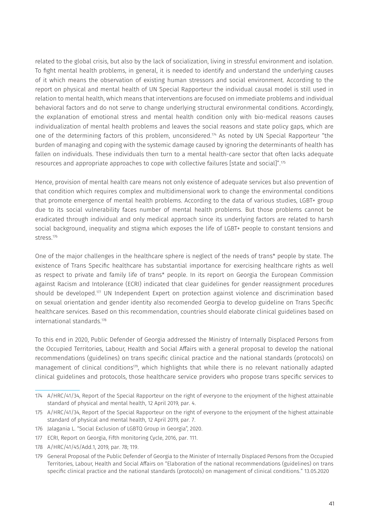related to the global crisis, but also by the lack of socialization, living in stressful environment and isolation. To fight mental health problems, in general, it is needed to identify and understand the underlying causes of it which means the observation of existing human stressors and social environment. According to the report on physical and mental health of UN Special Rapporteur the individual causal model is still used in relation to mental health, which means that interventions are focused on immediate problems and individual behavioral factors and do not serve to change underlying structural environmental conditions. Accordingly, the explanation of emotional stress and mental health condition only with bio-medical reasons causes individualization of mental health problems and leaves the social reasons and state policy gaps, which are one of the determining factors of this problem, unconsidered.<sup> $74$ </sup> As noted by UN Special Rapporteur "the burden of managing and coping with the systemic damage caused by ignoring the determinants of health has fallen on individuals. These individuals then turn to a mental health-care sector that often lacks adequate resources and appropriate approaches to cope with collective failures [state and social]".175

Hence, provision of mental health care means not only existence of adequate services but also prevention of that condition which requires complex and multidimensional work to change the environmental conditions that promote emergence of mental health problems. According to the data of various studies, LGBT+ group due to its social vulnerability faces number of mental health problems. But those problems cannot be eradicated through individual and only medical approach since its underlying factors are related to harsh social background, inequality and stigma which exposes the life of LGBT+ people to constant tensions and stress.176

One of the major challenges in the healthcare sphere is neglect of the needs of trans\* people by state. The existence of Trans Specific healthcare has substantial importance for exercising healthcare rights as well as respect to private and family life of trans\* people. In its report on Georgia the European Commission against Racism and Intolerance (ECRI) indicated that clear guidelines for gender reassignment procedures should be developed.177 UN Independent Expert on protection against violence and discrimination based on sexual orientation and gender identity also recomended Georgia to develop guideline on Trans Specific healthcare services. Based on this recommendation, countries should elaborate clinical guidelines based on international standards.178

To this end in 2020, Public Defender of Georgia addressed the Ministry of Internally Displaced Persons from the Occupied Territories, Labour, Health and Social Affairs with a general proposal to develop the national recommendations (guidelines) on trans specific clinical practice and the national standards (protocols) on management of clinical conditions<sup>179</sup>, which highlights that while there is no relevant nationally adapted clinical guidelines and protocols, those healthcare service providers who propose trans specific services to

- 176 Jalagania L. "Social Exclusion of LGBTQ Group in Georgia", 2020.
- 177 ECRI, Report on Georgia, Fifth monitoring Cycle, 2016, par. 111.
- 178 A/HRC/41/45/Add.1, 2019, par. 78; 119.

<sup>174</sup> A/HRC/41/34, Report of the Special Rapporteur on the right of everyone to the enjoyment of the highest attainable standard of physical and mental health, 12 April 2019, par. 4.

<sup>175</sup> A/HRC/41/34, Report of the Special Rapporteur on the right of everyone to the enjoyment of the highest attainable standard of physical and mental health, 12 April 2019, par. 7.

<sup>179</sup> General Proposal of the Public Defender of Georgia to the Minister of Internally Displaced Persons from the Occupied Territories, Labour, Health and Social Affairs on "Elaboration of the national recommendations (guidelines) on trans specific clinical practice and the national standards (protocols) on management of clinical conditions." 13.05.2020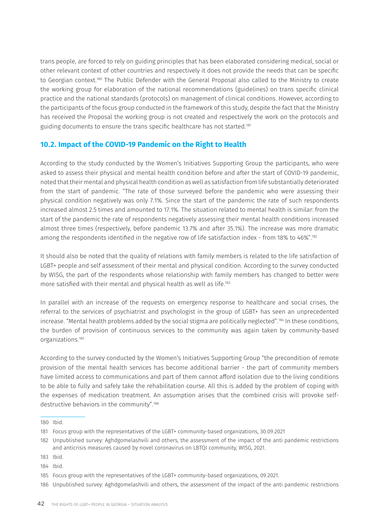trans people, are forced to rely on guiding principles that has been elaborated considering medical, social or other relevant context of other countries and respectively it does not provide the needs that can be specific to Georgian context.180 The Public Defender with the General Proposal also called to the Ministry to create the working group for elaboration of the national recommendations (guidelines) on trans specific clinical practice and the national standards (protocols) on management of clinical conditions. However, according to the participants of the focus group conducted in the framework of this study, despite the fact that the Ministry has received the Proposal the working group is not created and respectively the work on the protocols and guiding documents to ensure the trans specific healthcare has not started.181

### **10.2. Impact of the COVID-19 Pandemic on the Right to Health**

According to the study conducted by the Women's Initiatives Supporting Group the participants, who were asked to assess their physical and mental health condition before and after the start of COVID-19 pandemic, noted that their mental and physical health condition as well as satisfaction from life substantially deteriorated from the start of pandemic. "The rate of those surveyed before the pandemic who were assessing their physical condition negatively was only 7.1%. Since the start of the pandemic the rate of such respondents increased almost 2.5 times and amounted to 17.1%. The situation related to mental health is similar: from the start of the pandemic the rate of respondents negatively assessing their mental health conditions increased almost three times (respectively, before pandemic 13.7% and after 35.1%). The increase was more dramatic among the respondents identified in the negative row of life satisfaction index - from 18% to 46%".182

It should also be noted that the quality of relations with family members is related to the life satisfaction of LGBT+ people and self assessment of their mental and physical condition. According to the survey conducted by WISG, the part of the respondents whose relationship with family members has changed to better were more satisfied with their mental and physical health as well as life.183

In parallel with an increase of the requests on emergency response to healthcare and social crises, the referral to the services of psychiatrist and psychologist in the group of LGBT+ has seen an unprecedented increase. "Mental health problems added by the social stigma are politically neglected".<sup>184</sup> In these conditions, the burden of provision of continuous services to the community was again taken by community-based organizations.185

According to the survey conducted by the Women's Initiatives Supporting Group "the precondition of remote provision of the mental health services has become additional barrier - the part of community members have limited access to communications and part of them cannot afford isolation due to the living conditions to be able to fully and safely take the rehabilitation course. All this is added by the problem of coping with the expenses of medication treatment. An assumption arises that the combined crisis will provoke selfdestructive behaviors in the community".186

184 Ibid.

<sup>180</sup> Ibid.

<sup>181</sup> Focus group with the representatives of the LGBT+ community-based organizations, 30.09.2021

<sup>182</sup> Unpublished survey: Aghdgomelashvili and others, the assessment of the impact of the anti pandemic restrictions and anticrisis measures caused by novel coronavirus on LBTQI community, WISG, 2021.

<sup>183</sup> Ibid.

<sup>185</sup> Focus group with the representatives of the LGBT+ community-based organizations, 09.2021.

<sup>186</sup> Unpublished survey: Aghdgomelashvili and others, the assessment of the impact of the anti pandemic restrictions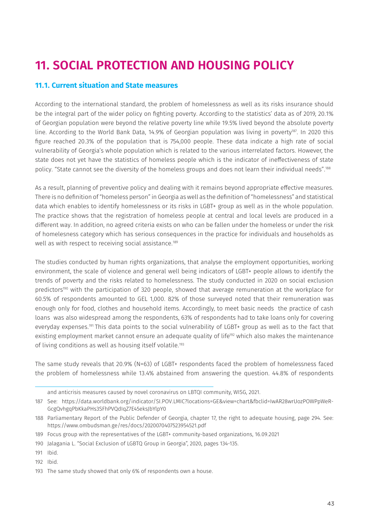## **11. SOCIAL PROTECTION AND HOUSING POLICY**

#### **11.1. Current situation and State measures**

According to the international standard, the problem of homelessness as well as its risks insurance should be the integral part of the wider policy on fighting poverty. According to the statistics' data as of 2019, 20.1% of Georgian population were beyond the relative poverty line while 19.5% lived beyond the absolute poverty line. According to the World Bank Data, 14.9% of Georgian population was living in poverty<sup>187</sup>. In 2020 this figure reached 20.3% of the population that is 754,000 people. These data indicate a high rate of social vulnerability of Georgia's whole population which is related to the various interrelated factors. However, the state does not yet have the statistics of homeless people which is the indicator of ineffectiveness of state policy. "State cannot see the diversity of the homeless groups and does not learn their individual needs".188

As a result, planning of preventive policy and dealing with it remains beyond appropriate effective measures. There is no definition of "homeless person" in Georgia as well as the definition of "homelessness" and statistical data which enables to identify homelessness or its risks in LGBT+ group as well as in the whole population. The practice shows that the registration of homeless people at central and local levels are produced in a different way. In addition, no agreed criteria exists on who can be fallen under the homeless or under the risk of homelesness category which has serious consequences in the practice for individuals and households as well as with respect to receiving social assistance.<sup>189</sup>

The studies conducted by human rights organizations, that analyse the employment opportunities, working environment, the scale of violence and general well being indicators of LGBT+ people allows to identify the trends of poverty and the risks related to homelessness. The study conducted in 2020 on social exclusion predictors<sup>190</sup> with the participation of 320 people, showed that average remuneration at the workplace for 60.5% of respondents amounted to GEL 1,000. 82% of those surveyed noted that their remuneration was enough only for food, clothes and household items. Accordingly, to meet basic needs the practice of cash loans was also widespread among the respondents, 63% of respondents had to take loans only for covering everyday expenses.<sup>191</sup> This data points to the social vulnerability of LGBT+ group as well as to the fact that existing employment market cannot ensure an adequate quality of life<sup>192</sup> which also makes the maintenance of living conditions as well as housing itself volatile.<sup>193</sup>

The same study reveals that 20.9% (N=63) of LGBT+ respondents faced the problem of homelessness faced the problem of homelessness while 13.4% abstained from answering the question. 44.8% of respondents

189 Focus group with the representatives of the LGBT+ community-based organizations, 16.09.2021

192 Ibid.

and anticrisis measures caused by novel coronavirus on LBTQI community, WISG, 2021.

<sup>187</sup> See: [https://data.worldbank.org/indicator/SI.POV.LMIC?locations=GE&view=chart&fbclid=IwAR28wrUozPOWPpWeR-](https://data.worldbank.org/indicator/SI.POV.LMIC?locations=GE&view=chart&fbclid=IwAR28wrUozPOWPpWeR-GcgQvhgqPbKkaPHs3SFhPVQdIqZ7E45eksJbYlpY0)[GcgQvhgqPbKkaPHs3SFhPVQdIqZ7E45eksJbYlpY0](https://data.worldbank.org/indicator/SI.POV.LMIC?locations=GE&view=chart&fbclid=IwAR28wrUozPOWPpWeR-GcgQvhgqPbKkaPHs3SFhPVQdIqZ7E45eksJbYlpY0)

<sup>188</sup> Parliamentary Report of the Public Defender of Georgia, chapter 17, the right to adequate housing, page 294. See: <https://www.ombudsman.ge/res/docs/2020070407523954521.pdf>

<sup>190</sup> Jalagania L. "Social Exclusion of LGBTQ Group in Georgia", 2020, pages 134-135.

<sup>191</sup> Ibid.

<sup>193</sup> The same study showed that only 6% of respondents own a house.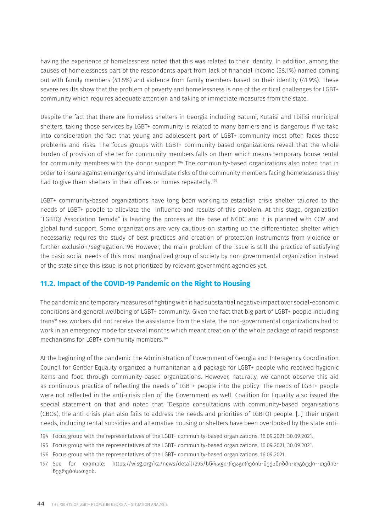having the experience of homelessness noted that this was related to their identity. In addition, among the causes of homelessness part of the respondents apart from lack of financial income (58.1%) named coming out with family members (43.5%) and violence from family members based on their identity (41.9%). These severe results show that the problem of poverty and homelessness is one of the critical challenges for LGBT+ community which requires adequate attention and taking of immediate measures from the state.

Despite the fact that there are homeless shelters in Georgia including Batumi, Kutaisi and Tbilisi municipal shelters, taking those services by LGBT+ community is related to many barriers and is dangerous if we take into consideration the fact that young and adolescent part of LGBT+ community most often faces these problems and risks. The focus groups with LGBT+ community-based organizations reveal that the whole burden of provision of shelter for community members falls on them which means temporary house rental for community members with the donor support.<sup>194</sup> The community-based organizations also noted that in order to insure against emergency and immediate risks of the community members facing homelessness they had to give them shelters in their offices or homes repeatedly.<sup>195</sup>

LGBT+ community-based organizations have long been working to establish crisis shelter tailored to the needs of LGBT+ people to alleviate the influence and results of this problem. At this stage, organization "LGBTQI Association Temida" is leading the process at the base of NCDC and it is planned with CCM and global fund support. Some organizations are very cautious on starting up the differentiated shelter which necessarily requires the study of best practices and creation of protection instruments from violence or further exclusion/segregation.196 However, the main problem of the issue is still the practice of satisfying the basic social needs of this most marginalized group of society by non-governmental organization instead of the state since this issue is not prioritized by relevant government agencies yet.

### **11.2. Impact of the COVID-19 Pandemic on the Right to Housing**

The pandemic and temporary measures of fighting with it had substantial negative impact over social-economic conditions and general wellbeing of LGBT+ community. Given the fact that big part of LGBT+ people including trans\* sex workers did not receive the assistance from the state, the non-governmental organizations had to work in an emergency mode for several months which meant creation of the whole package of rapid response mechanisms for LGBT+ community members.<sup>197</sup>

At the beginning of the pandemic the Administration of Government of Georgia and Interagency Coordination Council for Gender Equality organized a humanitarian aid package for LGBT+ people who received hygienic items and food through community-based organizations. However, naturally, we cannot observe this aid as continuous practice of reflecting the needs of LGBT+ people into the policy. The needs of LGBT+ people were not reflected in the anti-crisis plan of the Government as well. Coalition for Equality also issued the special statement on that and noted that "Despite consultations with community-based organisations (CBOs), the anti-crisis plan also fails to address the needs and priorities of LGBTQI people. [..] Their urgent needs, including rental subsidies and alternative housing or shelters have been overlooked by the state anti-

- 194 Focus group with the representatives of the LGBT+ community-based organizations, 16.09.2021; 30.09.2021.
- 195 Focus group with the representatives of the LGBT+ community-based organizations, 16.09.2021; 30.09.2021.
- 196 Focus group with the representatives of the LGBT+ community-based organizations, 16.09.2021.

<sup>197</sup> See for example: [https://wisg.org/ka/news/detail/295/სწრაფი-რეაგირების-მექანიზმი-ლგბტქი--თემის](https://wisg.org/ka/news/detail/295/)[წევრებისათვის.](https://wisg.org/ka/news/detail/295/)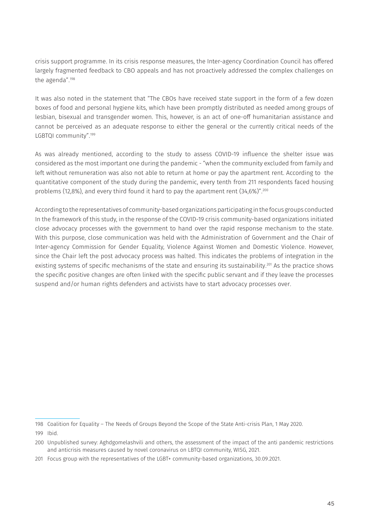crisis support programme. In its crisis response measures, the Inter-agency Coordination Council has offered largely fragmented feedback to CBO appeals and has not proactively addressed the complex challenges on the agenda".198

It was also noted in the statement that "The CBOs have received state support in the form of a few dozen boxes of food and personal hygiene kits, which have been promptly distributed as needed among groups of lesbian, bisexual and transgender women. This, however, is an act of one-off humanitarian assistance and cannot be perceived as an adequate response to either the general or the currently critical needs of the LGBTQI community".199

As was already mentioned, according to the study to assess COVID-19 influence the shelter issue was considered as the most important one during the pandemic - "when the community excluded from family and left without remuneration was also not able to return at home or pay the apartment rent. According to the quantitative component of the study during the pandemic, every tenth from 211 respondents faced housing problems (12,8%), and every third found it hard to pay the apartment rent (34,6%)".<sup>200</sup>

According to the representatives of community-based organizations participating in the focus groups conducted In the framework of this study, in the response of the COVID-19 crisis community-based organizations initiated close advocacy processes with the government to hand over the rapid response mechanism to the state. With this purpose, close communication was held with the Administration of Government and the Chair of Inter-agency Commission for Gender Equality, Violence Against Women and Domestic Violence. However, since the Chair left the post advocacy process was halted. This indicates the problems of integration in the existing systems of specific mechanisms of the state and ensuring its sustainability.201 As the practice shows the specific positive changes are often linked with the specific public servant and if they leave the processes suspend and/or human rights defenders and activists have to start advocacy processes over.

<sup>198</sup> Coalition for Equality – The Needs of Groups Beyond the Scope of the State Anti-crisis Plan, 1 May 2020.

<sup>199</sup> Ibid.

<sup>200</sup> Unpublished survey: Aghdgomelashvili and others, the assessment of the impact of the anti pandemic restrictions and anticrisis measures caused by novel coronavirus on LBTQI community, WISG, 2021.

<sup>201</sup> Focus group with the representatives of the LGBT+ community-based organizations, 30.09.2021.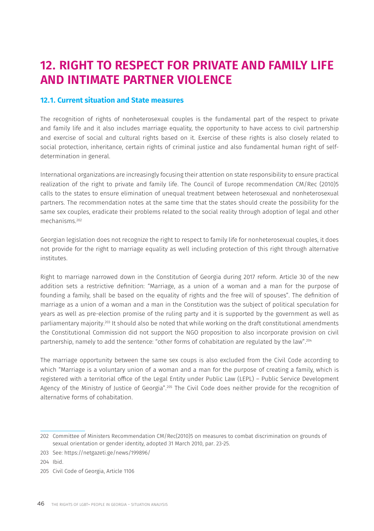### **12. RIGHT TO RESPECT FOR PRIVATE AND FAMILY LIFE AND INTIMATE PARTNER VIOLENCE**

### **12.1. Current situation and State measures**

The recognition of rights of nonheterosexual couples is the fundamental part of the respect to private and family life and it also includes marriage equality, the opportunity to have access to civil partnership and exercise of social and cultural rights based on it. Exercise of these rights is also closely related to social protection, inheritance, certain rights of criminal justice and also fundamental human right of selfdetermination in general.

International organizations are increasingly focusing their attention on state responsibility to ensure practical realization of the right to private and family life. The Council of Europe recommendation CM/Rec (2010)5 calls to the states to ensure elimination of unequal treatment between heterosexual and nonheterosexual partners. The recommendation notes at the same time that the states should create the possibility for the same sex couples, eradicate their problems related to the social reality through adoption of legal and other mechanisms.202

Georgian legislation does not recognize the right to respect to family life for nonheterosexual couples, it does not provide for the right to marriage equality as well including protection of this right through alternative institutes.

Right to marriage narrowed down in the Constitution of Georgia during 2017 reform. Article 30 of the new addition sets a restrictive definition: "Marriage, as a union of a woman and a man for the purpose of founding a family, shall be based on the equality of rights and the free will of spouses". The definition of marriage as a union of a woman and a man in the Constitution was the subject of political speculation for years as well as pre-election promise of the ruling party and it is supported by the government as well as parliamentary majority.203 It should also be noted that while working on the draft constitutional amendments the Constitutional Commission did not support the NGO proposition to also incorporate provision on civil partnership, namely to add the sentence: "other forms of cohabitation are regulated by the law".204

The marriage opportunity between the same sex coups is also excluded from the Civil Code according to which "Marriage is a voluntary union of a woman and a man for the purpose of creating a family, which is registered with a territorial office of the Legal Entity under Public Law (LEPL) – Public Service Development Agency of the Ministry of Justice of Georgia".<sup>205</sup> The Civil Code does neither provide for the recognition of alternative forms of cohabitation.

204 Ibid.

<sup>202</sup> Committee of Ministers Recommendation CM/Rec(2010)5 on measures to combat discrimination on grounds of sexual orientation or gender identity, adopted 31 March 2010, par. 23-25.

<sup>203</sup> See: <https://netgazeti.ge/news/199896/>

<sup>205</sup> Civil Code of Georgia, Article 1106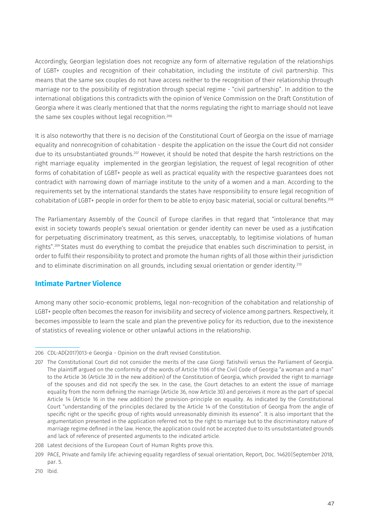Accordingly, Georgian legislation does not recognize any form of alternative regulation of the relationships of LGBT+ couples and recognition of their cohabitation, including the institute of civil partnership. This means that the same sex couples do not have access neither to the recognition of their relationship through marriage nor to the possibility of registration through special regime - "civil partnership". In addition to the international obligations this contradicts with the opinion of Venice Commission on the Draft Constitution of Georgia where it was clearly mentioned that that the norms regulating the right to marriage should not leave the same sex couples without legal recognition.<sup>206</sup>

It is also noteworthy that there is no decision of the Constitutional Court of Georgia on the issue of marriage equality and nonrecognition of cohabitation - despite the application on the issue the Court did not consider due to its unsubstantiated grounds.<sup>207</sup> However, it should be noted that despite the harsh restrictions on the right marriage equality implemented in the georgian legislation, the request of legal recognition of other forms of cohabitation of LGBT+ people as well as practical equality with the respective guarantees does not contradict with narrowing down of marriage institute to the unity of a women and a man. According to the requirements set by the international standards the states have responsibility to ensure legal recognition of cohabitation of LGBT+ people in order for them to be able to enjoy basic material, social or cultural benefits.208

The Parliamentary Assembly of the Council of Europe clarifies in that regard that "intolerance that may exist in society towards people's sexual orientation or gender identity can never be used as a justification for perpetuating discriminatory treatment, as this serves, unacceptably, to legitimise violations of human rights".209 States must do everything to combat the prejudice that enables such discrimination to persist, in order to fulfil their responsibility to protect and promote the human rights of all those within their jurisdiction and to eliminate discrimination on all grounds, including sexual orientation or gender identity.<sup>210</sup>

### **Intimate Partner Violence**

Among many other socio-economic problems, legal non-recognition of the cohabitation and relationship of LGBT+ people often becomes the reason for invisibility and secrecy of violence among partners. Respectively, it becomes impossible to learn the scale and plan the preventive policy for its reduction, due to the inexistence of statistics of revealing violence or other unlawful actions in the relationship.

<sup>206</sup> CDL-AD(2017)013-e Georgia - Opinion on the draft revised Constitution.

<sup>207</sup> The Constitutional Court did not consider the merits of the case Giorgi Tatishvili versus the Parliament of Georgia. The plaintiff argued on the conformity of the words of Article 1106 of the Civil Code of Georgia "a woman and a man" to the Article 36 (Article 30 in the new addition) of the Constitution of Georgia, which provided the right to marriage of the spouses and did not specify the sex. In the case, the Court detaches to an extent the issue of marriage equality from the norm defining the marriage (Article 36, now Article 30) and perceives it more as the part of special Article 14 (Article 16 in the new addition) the provision-principle on equality. As indicated by the Constitutional Court "understanding of the principles declared by the Article 14 of the Constitution of Georgia from the angle of specific right or the specific group of rights would unreasonably diminish its essence". It is also important that the argumentation presented in the application referred not to the right to marriage but to the discriminatory nature of marriage regime defined in the law. Hence, the application could not be accepted due to its unsubstantiated grounds and lack of reference of presented arguments to the indicated article.

<sup>208</sup> Latest decisions of the European Court of Human Rights prove this.

<sup>209</sup> PACE, Private and family life: achieving equality regardless of sexual orientation, Report, Doc. 14620|September 2018, par. 5.

<sup>210</sup> Ibid.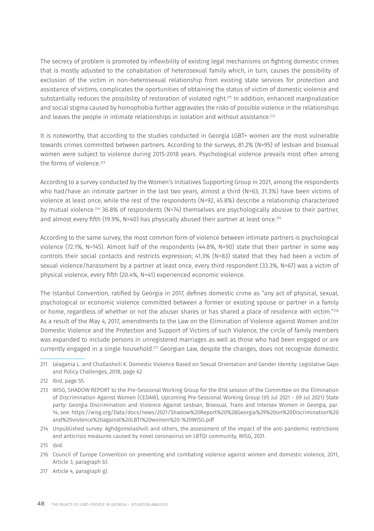The secrecy of problem is promoted by inflexibility of existing legal mechanisms on fighting domestic crimes that is mostly adjusted to the cohabitation of heterosexual family which, in turn, causes the possibility of exclusion of the victim in non-heterosexual relationship from existing state services for protection and assistance of victims, complicates the oportunities of obtaining the status of victim of domestic violence and substantially reduces the possibility of restoration of violated right.211 In addition, enhanced marginalization and social stigma caused by homophobia further aggravates the risks of possible violence in the relationships and leaves the people in intimate relationships in isolation and without assistance.<sup>212</sup>

It is noteworthy, that according to the studies conducted in Georgia LGBT+ women are the most vulnerable towards crimes committed between partners. According to the surveys, 81.2% (N=95) of lesbian and bisexual women were subject to violence during 2015-2018 years. Psychological violence prevails most often among the forms of violence.<sup>213</sup>

According to a survey conducted by the Women's Initiatives Supporting Group in 2021, among the respondents who had/have an intimate partner in the last two years, almost a third (N=63, 31.3%) have been victims of violence at least once, while the rest of the respondents (N=92, 45.8%) describe a relationship characterized by mutual violence.214 36.8% of respondents (N=74) themselves are psychologically abusive to their partner, and almost every fifth (19.9%, N=40) has physically abused their partner at least once.<sup>215</sup>

According to the same survey, the most common form of violence between intimate partners is psychological violence (72.1%, N=145). Almost half of the respondents (44.8%, N=90) state that their partner in some way controls their social contacts and restricts expression; 41.3% (N=83) stated that they had been a victim of sexual violence/harassment by a partner at least once, every third respondent (33.3%, N=67) was a victim of physical violence, every fifth (20.4%, N=41) experienced economic violence.

The Istanbul Convention, ratified by Georgia in 2017, defines domestic crime as "any act of physical, sexual, psychological or economic violence committed between a former or existing spouse or partner in a family or home, regardless of whether or not the abuser shares or has shared a place of residence with victim."216 As a result of the May 4, 2017, amendments to the Law on the Elimination of Violence against Women and/or Domestic Violence and the Protection and Support of Victims of such Violence, the circle of family members was expanded to include persons in unregistered marriages as well as those who had been engaged or are currently engaged in a single household.<sup>217</sup> Georgian Law, despite the changes, does not recognize domestic

<sup>211</sup> Jalagania L. and Chutlashvili K. Domestic Violence Based on Sexual Orientation and Gender Identity: Legislative Gaps and Policy Challenges, 2018, page 62

<sup>212</sup> Ibid, page 55.

<sup>213</sup> WISG, SHADOW REPORT to the Pre-Sessional Working Group for the 81st session of the Committee on the Elimination of Discrimination Against Women (CEDAW), Upcoming Pre-Sessional Working Group (05 Jul 2021 - 09 Jul 2021) State party: Georgia Discrimination and Violence Against Lesbian, Bisexual, Trans and Intersex Women in Georgia, par. 14, see: [https://wisg.org/Data/docs/news/2021/Shadow%20Report%20%28Georgia%29%20on%20Discrimination%20](https://wisg.org/Data/docs/news/2021/Shadow%20Report%20%28Georgia%29%20on%20Discrimination%20and%20violence%20against%20LBTI%20women%20-%20WISG.pdf) [and%20violence%20against%20LBTI%20women%20-%20WISG.pdf](https://wisg.org/Data/docs/news/2021/Shadow%20Report%20%28Georgia%29%20on%20Discrimination%20and%20violence%20against%20LBTI%20women%20-%20WISG.pdf) 

<sup>214</sup> Unpublished survey: Aghdgomelashvili and others, the assessment of the impact of the anti pandemic restrictions and anticrisis measures caused by novel coronavirus on LBTQI community, WISG, 2021.

<sup>215</sup> ibid.

<sup>216</sup> Council of Europe Convention on preventing and combating violence against women and domestic violence, 2011, Article 3, paragraph b).

<sup>217</sup> Article 4, paragraph g).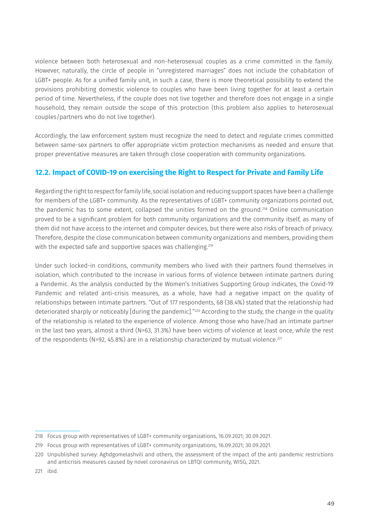violence between both heterosexual and non-heterosexual couples as a crime committed in the family. However, naturally, the circle of people in "unregistered marriages" does not include the cohabitation of LGBT+ people. As for a unified family unit, in such a case, there is more theoretical possibility to extend the provisions prohibiting domestic violence to couples who have been living together for at least a certain period of time. Nevertheless, if the couple does not live together and therefore does not engage in a single household, they remain outside the scope of this protection (this problem also applies to heterosexual couples/partners who do not live together).

Accordingly, the law enforcement system must recognize the need to detect and regulate crimes committed between same-sex partners to offer appropriate victim protection mechanisms as needed and ensure that proper preventative measures are taken through close cooperation with community organizations.

### **12.2. Impact of COVID-19 on exercising the Right to Respect for Private and Family Life**

Regarding the right to respect for family life, social isolation and reducing support spaces have been a challenge for members of the LGBT+ community. As the representatives of LGBT+ community organizations pointed out, the pandemic has to some extent, collapsed the unities formed on the ground.<sup>218</sup> Online communication proved to be a significant problem for both community organizations and the community itself, as many of them did not have access to the internet and computer devices, but there were also risks of breach of privacy. Therefore, despite the close communication between community organizations and members, providing them with the expected safe and supportive spaces was challenging.<sup>219</sup>

Under such locked-in conditions, community members who lived with their partners found themselves in isolation, which contributed to the increase in various forms of violence between intimate partners during a Pandemic. As the analysis conducted by the Women's Initiatives Supporting Group indicates, the Covid-19 Pandemic and related anti-crisis measures, as a whole, have had a negative impact on the quality of relationships between intimate partners. "Out of 177 respondents, 68 (38.4%) stated that the relationship had deteriorated sharply or noticeably [during the pandemic]."<sup>220</sup> According to the study, the change in the quality of the relationship is related to the experience of violence. Among those who have/had an intimate partner in the last two years, almost a third (N=63, 31.3%) have been victims of violence at least once, while the rest of the respondents (N=92, 45.8%) are in a relationship characterized by mutual violence.<sup>221</sup>

<sup>218</sup> Focus group with representatives of LGBT+ community organizations, 16.09.2021; 30.09.2021.

<sup>219</sup> Focus group with representatives of LGBT+ community organizations, 16.09.2021; 30.09.2021.

<sup>220</sup> Unpublished survey: Aghdgomelashvili and others, the assessment of the impact of the anti pandemic restrictions and anticrisis measures caused by novel coronavirus on LBTQI community, WISG, 2021.

<sup>221</sup> ibid.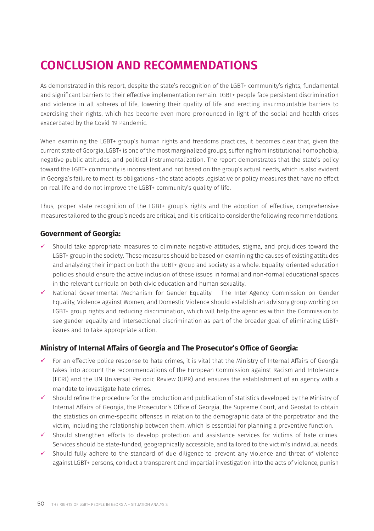# **CONCLUSION AND RECOMMENDATIONS**

As demonstrated in this report, despite the state's recognition of the LGBT+ community's rights, fundamental and significant barriers to their effective implementation remain. LGBT+ people face persistent discrimination and violence in all spheres of life, lowering their quality of life and erecting insurmountable barriers to exercising their rights, which has become even more pronounced in light of the social and health crises exacerbated by the Covid-19 Pandemic.

When examining the LGBT+ group's human rights and freedoms practices, it becomes clear that, given the current state of Georgia, LGBT+ is one of the most marginalized groups, suffering from institutional homophobia, negative public attitudes, and political instrumentalization. The report demonstrates that the state's policy toward the LGBT+ community is inconsistent and not based on the group's actual needs, which is also evident in Georgia's failure to meet its obligations - the state adopts legislative or policy measures that have no effect on real life and do not improve the LGBT+ community's quality of life.

Thus, proper state recognition of the LGBT+ group's rights and the adoption of effective, comprehensive measures tailored to the group's needs are critical, and it is critical to consider the following recommendations:

#### **Government of Georgia:**

- Should take appropriate measures to eliminate negative attitudes, stigma, and prejudices toward the LGBT+ group in the society. These measures should be based on examining the causes of existing attitudes and analyzing their impact on both the LGBT+ group and society as a whole. Equality-oriented education policies should ensure the active inclusion of these issues in formal and non-formal educational spaces in the relevant curricula on both civic education and human sexuality.
- $\checkmark$  National Governmental Mechanism for Gender Equality The Inter-Agency Commission on Gender Equality, Violence against Women, and Domestic Violence should establish an advisory group working on LGBT+ group rights and reducing discrimination, which will help the agencies within the Commission to see gender equality and intersectional discrimination as part of the broader goal of eliminating LGBT+ issues and to take appropriate action.

### **Ministry of Internal Affairs of Georgia and The Prosecutor's Office of Georgia:**

- $\checkmark$  For an effective police response to hate crimes, it is vital that the Ministry of Internal Affairs of Georgia takes into account the recommendations of the European Commission against Racism and Intolerance (ECRI) and the UN Universal Periodic Review (UPR) and ensures the establishment of an agency with a mandate to investigate hate crimes.
- $\checkmark$  Should refine the procedure for the production and publication of statistics developed by the Ministry of Internal Affairs of Georgia, the Prosecutor's Office of Georgia, the Supreme Court, and Geostat to obtain the statistics on crime-specific offenses in relation to the demographic data of the perpetrator and the victim, including the relationship between them, which is essential for planning a preventive function.
- $\checkmark$  Should strengthen efforts to develop protection and assistance services for victims of hate crimes. Services should be state-funded, geographically accessible, and tailored to the victim's individual needs.
- $\checkmark$  Should fully adhere to the standard of due diligence to prevent any violence and threat of violence against LGBT+ persons, conduct a transparent and impartial investigation into the acts of violence, punish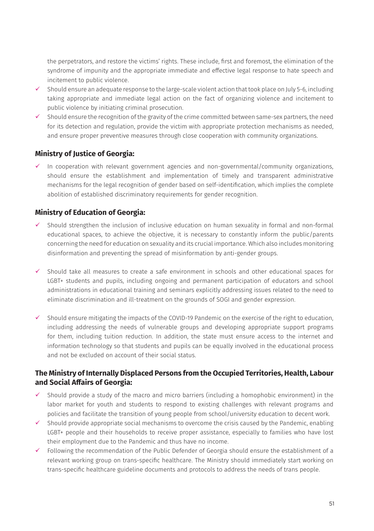the perpetrators, and restore the victims' rights. These include, first and foremost, the elimination of the syndrome of impunity and the appropriate immediate and effective legal response to hate speech and incitement to public violence.

- $\checkmark$  Should ensure an adequate response to the large-scale violent action that took place on July 5-6, including taking appropriate and immediate legal action on the fact of organizing violence and incitement to public violence by initiating criminal prosecution.
- $\checkmark$  Should ensure the recognition of the gravity of the crime committed between same-sex partners, the need for its detection and regulation, provide the victim with appropriate protection mechanisms as needed, and ensure proper preventive measures through close cooperation with community organizations.

### **Ministry of Justice of Georgia:**

 $\checkmark$  In cooperation with relevant government agencies and non-governmental/community organizations, should ensure the establishment and implementation of timely and transparent administrative mechanisms for the legal recognition of gender based on self-identification, which implies the complete abolition of established discriminatory requirements for gender recognition.

### **Ministry of Education of Georgia:**

- Should strengthen the inclusion of inclusive education on human sexuality in formal and non-formal educational spaces, to achieve the objective, it is necessary to constantly inform the public/parents concerning the need for education on sexuality and its crucial importance. Which also includes monitoring disinformation and preventing the spread of misinformation by anti-gender groups.
- $\checkmark$  Should take all measures to create a safe environment in schools and other educational spaces for LGBT+ students and pupils, including ongoing and permanent participation of educators and school administrations in educational training and seminars explicitly addressing issues related to the need to eliminate discrimination and ill-treatment on the grounds of SOGI and gender expression.
- $\checkmark$  Should ensure mitigating the impacts of the COVID-19 Pandemic on the exercise of the right to education, including addressing the needs of vulnerable groups and developing appropriate support programs for them, including tuition reduction. In addition, the state must ensure access to the internet and information technology so that students and pupils can be equally involved in the educational process and not be excluded on account of their social status.

### **The Ministry of Internally Displaced Persons from the Occupied Territories, Health, Labour and Social Affairs of Georgia:**

- $\checkmark$  Should provide a study of the macro and micro barriers (including a homophobic environment) in the labor market for youth and students to respond to existing challenges with relevant programs and policies and facilitate the transition of young people from school/university education to decent work.
- $\checkmark$  Should provide appropriate social mechanisms to overcome the crisis caused by the Pandemic, enabling LGBT+ people and their households to receive proper assistance, especially to families who have lost their employment due to the Pandemic and thus have no income.
- $\checkmark$  Following the recommendation of the Public Defender of Georgia should ensure the establishment of a relevant working group on trans-specific healthcare. The Ministry should immediately start working on trans-specific healthcare guideline documents and protocols to address the needs of trans people.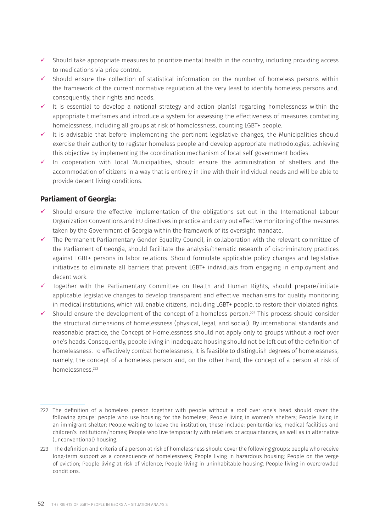- $\checkmark$  Should take appropriate measures to prioritize mental health in the country, including providing access to medications via price control.
- $\checkmark$  Should ensure the collection of statistical information on the number of homeless persons within the framework of the current normative regulation at the very least to identify homeless persons and, consequently, their rights and needs.
- It is essential to develop a national strategy and action plan(s) regarding homelessness within the appropriate timeframes and introduce a system for assessing the effectiveness of measures combating homelessness, including all groups at risk of homelessness, counting LGBT+ people.
- It is advisable that before implementing the pertinent legislative changes, the Municipalities should exercise their authority to register homeless people and develop appropriate methodologies, achieving this objective by implementing the coordination mechanism of local self-government bodies.
- $\checkmark$  In cooperation with local Municipalities, should ensure the administration of shelters and the accommodation of citizens in a way that is entirely in line with their individual needs and will be able to provide decent living conditions.

### **Parliament of Georgia:**

- $\checkmark$  Should ensure the effective implementation of the obligations set out in the International Labour Organization Conventions and EU directives in practice and carry out effective monitoring of the measures taken by the Government of Georgia within the framework of its oversight mandate.
- $\checkmark$  The Permanent Parliamentary Gender Equality Council, in collaboration with the relevant committee of the Parliament of Georgia, should facilitate the analysis/thematic research of discriminatory practices against LGBT+ persons in labor relations. Should formulate applicable policy changes and legislative initiatives to eliminate all barriers that prevent LGBT+ individuals from engaging in employment and decent work.
- $\checkmark$  Together with the Parliamentary Committee on Health and Human Rights, should prepare/initiate applicable legislative changes to develop transparent and effective mechanisms for quality monitoring in medical institutions, which will enable citizens, including LGBT+ people, to restore their violated rights.
- $\checkmark$  Should ensure the development of the concept of a homeless person.<sup>222</sup> This process should consider the structural dimensions of homelessness (physical, legal, and social). By international standards and reasonable practice, the Concept of Homelessness should not apply only to groups without a roof over one's heads. Consequently, people living in inadequate housing should not be left out of the definition of homelessness. To effectively combat homelessness, it is feasible to distinguish degrees of homelessness, namely, the concept of a homeless person and, on the other hand, the concept of a person at risk of homelessness.223

<sup>222</sup> The definition of a homeless person together with people without a roof over one's head should cover the following groups: people who use housing for the homeless; People living in women's shelters; People living in an immigrant shelter; People waiting to leave the institution, these include: penitentiaries, medical facilities and children's institutions/homes; People who live temporarily with relatives or acquaintances, as well as in alternative (unconventional) housing.

<sup>223</sup> The definition and criteria of a person at risk of homelessness should cover the following groups: people who receive long-term support as a consequence of homelessness; People living in hazardous housing; People on the verge of eviction; People living at risk of violence; People living in uninhabitable housing; People living in overcrowded conditions.